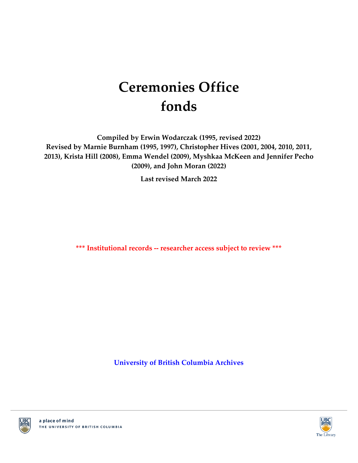# **Ceremonies Office fonds**

**Compiled by Erwin Wodarczak (1995, revised 2022) Revised by Marnie Burnham (1995, 1997), Christopher Hives (2001, 2004, 2010, 2011, 2013), Krista Hill (2008), Emma Wendel (2009), Myshkaa McKeen and Jennifer Pecho (2009), and John Moran (2022)**

**Last revised March 2022**

**\*\*\* Institutional records -- researcher access subject to review \*\*\***

**[University of British Columbia Archives](http://www.library.ubc.ca/archives/)**



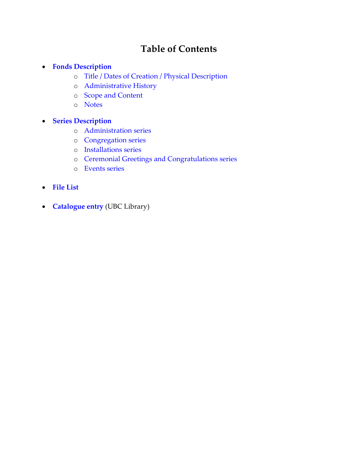# **Table of Contents**

#### **[Fonds Description](#page-2-0)**

- o [Title / Dates of Creation / Physical Description](#page-2-1)
- o [Administrative History](#page-2-2)
- o [Scope and Content](#page-2-3)
- o [Notes](#page-2-4)

# **[Series Description](#page-4-0)**

- o [Administration series](#page-4-1)
- o [Congregation series](#page-4-2)
- o [Installations series](#page-4-3)
- o [Ceremonial Greetings and Congratulations series](#page-4-4)
- o [Events series](#page-5-0)
- **[File List](#page-6-0)**
- **[Catalogue entry](http://resolve.library.ubc.ca/cgi-bin/catsearch?title=Ceremonies%2BOffice%2Bfonds)** (UBC Library)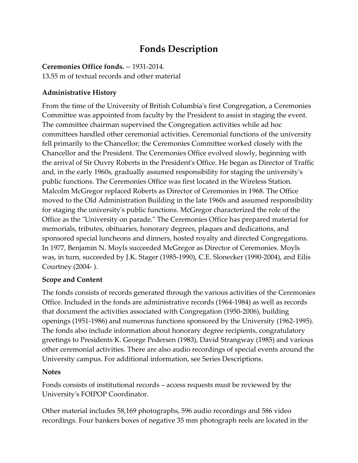# **Fonds Description**

### <span id="page-2-1"></span><span id="page-2-0"></span>**Ceremonies Office fonds.** -- 1931-2014.

13.55 m of textual records and other material

# <span id="page-2-2"></span>**Administrative History**

<span id="page-2-3"></span>From the time of the University of British Columbia's first Congregation, a Ceremonies Committee was appointed from faculty by the President to assist in staging the event. The committee chairman supervised the Congregation activities while ad hoc committees handled other ceremonial activities. Ceremonial functions of the university fell primarily to the Chancellor; the Ceremonies Committee worked closely with the Chancellor and the President. The Ceremonies Office evolved slowly, beginning with the arrival of Sir Ouvry Roberts in the President's Office. He began as Director of Traffic and, in the early 1960s, gradually assumed responsibility for staging the university's public functions. The Ceremonies Office was first located in the Wireless Station. Malcolm McGregor replaced Roberts as Director of Ceremonies in 1968. The Office moved to the Old Administration Building in the late 1960s and assumed responsibility for staging the university's public functions. McGregor characterized the role of the Office as the "University on parade." The Ceremonies Office has prepared material for memorials, tributes, obituaries, honorary degrees, plaques and dedications, and sponsored special luncheons and dinners, hosted royalty and directed Congregations. In 1977, Benjamin N. Moyls succeeded McGregor as Director of Ceremonies. Moyls was, in turn, succeeded by J.K. Stager (1985-1990), C.E. Slonecker (1990-2004), and Eilis Courtney (2004- ).

# **Scope and Content**

<span id="page-2-4"></span>The fonds consists of records generated through the various activities of the Ceremonies Office. Included in the fonds are administrative records (1964-1984) as well as records that document the activities associated with Congregation (1950-2006), building openings (1951-1986) and numerous functions sponsored by the University (1962-1995). The fonds also include information about honorary degree recipients, congratulatory greetings to Presidents K. George Pedersen (1983), David Strangway (1985) and various other ceremonial activities. There are also audio recordings of special events around the University campus. For additional information, see Series Descriptions.

#### **Notes**

Fonds consists of institutional records – access requests must be reviewed by the University's FOIPOP Coordinator.

Other material includes 58,169 photographs, 596 audio recordings and 586 video recordings. Four bankers boxes of negative 35 mm photograph reels are located in the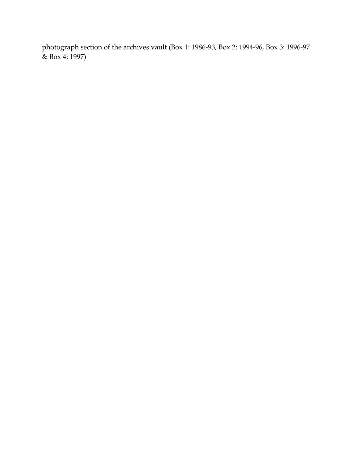photograph section of the archives vault (Box 1: 1986-93, Box 2: 1994-96, Box 3: 1996-97 & Box 4: 1997)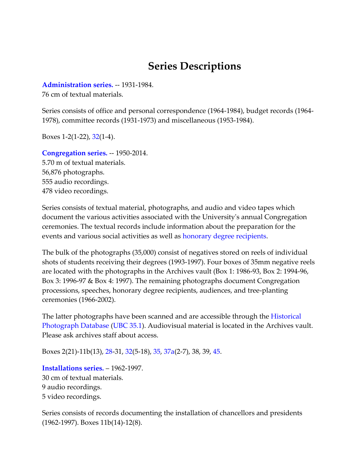# **Series Descriptions**

<span id="page-4-1"></span><span id="page-4-0"></span>**[Administration series.](#page-6-1)** -- 1931-1984.

76 cm of textual materials.

Series consists of office and personal correspondence (1964-1984), budget records (1964- 1978), committee records (1931-1973) and miscellaneous (1953-1984).

Boxes 1-2(1-22), [32\(](#page-43-0)1-4).

<span id="page-4-2"></span>**[Congregation series.](#page-7-0)** -- 1950-2014. 5.70 m of textual materials. 56,876 photographs. 555 audio recordings. 478 video recordings.

Series consists of textual material, photographs, and audio and video tapes which document the various activities associated with the University's annual Congregation ceremonies. The textual records include information about the preparation for the events and various social activities as well as [honorary degree recipients.](http://www.library.ubc.ca/archives/hondegre.html)

The bulk of the photographs (35,000) consist of negatives stored on reels of individual shots of students receiving their degrees (1993-1997). Four boxes of 35mm negative reels are located with the photographs in the Archives vault (Box 1: 1986-93, Box 2: 1994-96, Box 3: 1996-97 & Box 4: 1997). The remaining photographs document Congregation processions, speeches, honorary degree recipients, audiences, and tree-planting ceremonies (1966-2002).

The latter photographs have been scanned and are accessible through the Historical [Photograph Database](http://digitalcollections.library.ubc.ca/cdm/landingpage/collection/arphotos) [\(UBC 35.1\)](http://digitalcollections.library.ubc.ca/cdm/search/collection/arphotos/searchterm/Ceremonies%20Office%20fonds/mode/exact). Audiovisual material is located in the Archives vault. Please ask archives staff about access.

Boxes 2(21)-11b(13), [28-](#page-41-0)31, [32\(](#page-43-1)5-18), [35,](#page-44-0) [37a\(](#page-46-0)2-7), 38, 39, [45.](#page-54-0)

<span id="page-4-3"></span>**[Installations series.](#page-20-0)** – 1962-1997. 30 cm of textual materials. 9 audio recordings. 5 video recordings.

<span id="page-4-4"></span>Series consists of records documenting the installation of chancellors and presidents (1962-1997). Boxes 11b(14)-12(8).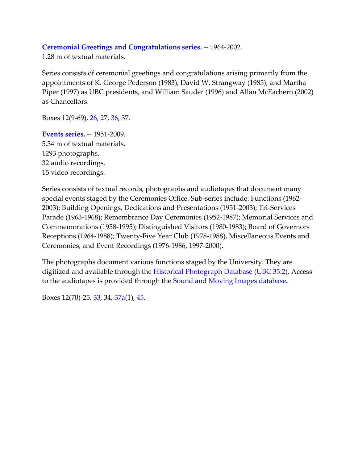### **[Ceremonial Greetings and Congratulations series.](#page-21-0)** -- 1964-2002.

1.28 m of textual materials.

Series consists of ceremonial greetings and congratulations arising primarily from the appointments of K. George Pederson (1983), David W. Strangway (1985), and Martha Piper (1997) as UBC presidents, and William Sauder (1996) and Allan McEachern (2002) as Chancellors.

Boxes 12(9-69), [26,](#page-40-0) 27, [36,](#page-46-1) 37.

<span id="page-5-0"></span>**[Events series.](#page-23-0)** -- 1951-2009. 5.34 m of textual materials. 1293 photographs. 32 audio recordings. 15 video recordings.

Series consists of textual records, photographs and audiotapes that document many special events staged by the Ceremonies Office. Sub-series include: Functions (1962- 2003); Building Openings, Dedications and Presentations (1951-2003); Tri-Services Parade (1963-1968); Remembrance Day Ceremonies (1952-1987); Memorial Services and Commemorations (1958-1995); Distinguished Visitors (1980-1983); Board of Governors Receptions (1964-1988); Twenty-Five Year Club (1978-1988), Miscellaneous Events and Ceremonies, and Event Recordings (1976-1986, 1997-2000).

The photographs document various functions staged by the University. They are digitized and available through the [Historical Photograph Database](http://digitalcollections.library.ubc.ca/cdm/landingpage/collection/arphotos) [\(UBC 35.2\)](http://digitalcollections.library.ubc.ca/cdm/search/collection/arphotos/searchterm/Ceremonies%20Office%20fonds/mode/exact). Access to the audiotapes is provided through the [Sound and Moving Images database](http://www.library.ubc.ca/archives/sound.html)**.**

Boxes 12(70)-25, [33,](#page-44-1) 34, [37a\(](#page-46-2)1), [45.](#page-57-0)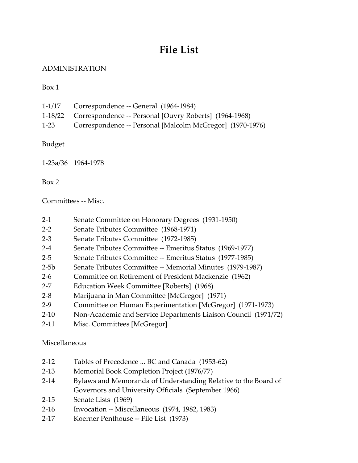# **File List**

# <span id="page-6-1"></span><span id="page-6-0"></span>ADMINISTRATION

Box 1

|        | $1-1/17$ Correspondence -- General (1964-1984)                 |
|--------|----------------------------------------------------------------|
|        | 1-18/22 Correspondence -- Personal [Ouvry Roberts] (1964-1968) |
| $1-23$ | Correspondence -- Personal [Malcolm McGregor] (1970-1976)      |

Budget

1-23a/36 1964-1978

Box 2

Committees -- Misc.

- 2-1 Senate Committee on Honorary Degrees (1931-1950)
- 2-2 Senate Tributes Committee (1968-1971)
- 2-3 Senate Tributes Committee (1972-1985)
- 2-4 Senate Tributes Committee -- Emeritus Status (1969-1977)
- 2-5 Senate Tributes Committee -- Emeritus Status (1977-1985)
- 2-5b Senate Tributes Committee -- Memorial Minutes (1979-1987)
- 2-6 Committee on Retirement of President Mackenzie (1962)
- 2-7 Education Week Committee [Roberts] (1968)
- 2-8 Marijuana in Man Committee [McGregor] (1971)
- 2-9 Committee on Human Experimentation [McGregor] (1971-1973)
- 2-10 Non-Academic and Service Departments Liaison Council (1971/72)
- 2-11 Misc. Committees [McGregor]

**Miscellaneous** 

- 2-12 Tables of Precedence ... BC and Canada (1953-62)
- 2-13 Memorial Book Completion Project (1976/77)
- 2-14 Bylaws and Memoranda of Understanding Relative to the Board of Governors and University Officials (September 1966)
- 2-15 Senate Lists (1969)
- 2-16 Invocation -- Miscellaneous (1974, 1982, 1983)
- 2-17 Koerner Penthouse -- File List (1973)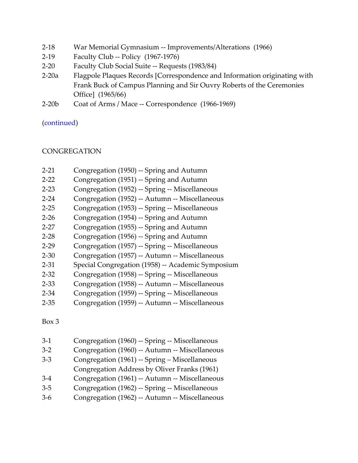- 2-18 War Memorial Gymnasium -- Improvements/Alterations (1966)
- 2-19 Faculty Club -- Policy (1967-1976)
- 2-20 Faculty Club Social Suite -- Requests (1983/84)
- 2-20a Flagpole Plaques Records [Correspondence and Information originating with Frank Buck of Campus Planning and Sir Ouvry Roberts of the Ceremonies Office] (1965/66)
- 2-20b Coat of Arms / Mace -- Correspondence (1966-1969)

[\(continued\)](#page-43-0)

# <span id="page-7-0"></span>**CONGREGATION**

- 2-21 Congregation (1950) -- Spring and Autumn
- 2-22 Congregation (1951) -- Spring and Autumn
- 2-23 Congregation (1952) -- Spring -- Miscellaneous
- 2-24 Congregation (1952) -- Autumn -- Miscellaneous
- 2-25 Congregation (1953) -- Spring -- Miscellaneous
- 2-26 Congregation (1954) -- Spring and Autumn
- 2-27 Congregation (1955) -- Spring and Autumn
- 2-28 Congregation (1956) -- Spring and Autumn
- 2-29 Congregation (1957) -- Spring -- Miscellaneous
- 2-30 Congregation (1957) -- Autumn -- Miscellaneous
- 2-31 Special Congregation (1958) -- Academic Symposium
- 2-32 Congregation (1958) -- Spring -- Miscellaneous
- 2-33 Congregation (1958) -- Autumn -- Miscellaneous
- 2-34 Congregation (1959) -- Spring -- Miscellaneous
- 2-35 Congregation (1959) -- Autumn -- Miscellaneous

Box 3

3-1 Congregation (1960) -- Spring -- Miscellaneous 3-2 Congregation (1960) -- Autumn -- Miscellaneous 3-3 Congregation (1961) -- Spring – Miscellaneous Congregation Address by Oliver Franks (1961) 3-4 Congregation (1961) -- Autumn -- Miscellaneous 3-5 Congregation (1962) -- Spring -- Miscellaneous 3-6 Congregation (1962) -- Autumn -- Miscellaneous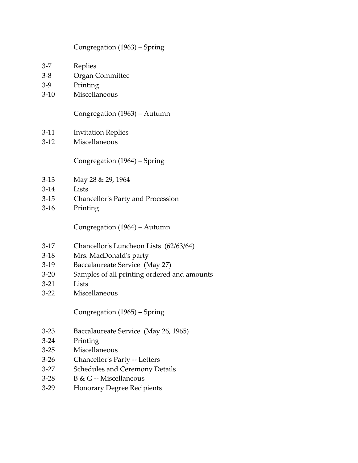#### Congregation (1963) – Spring

- 3-7 Replies
- 3-8 Organ Committee
- 3-9 Printing
- 3-10 Miscellaneous

Congregation (1963) – Autumn

- 3-11 Invitation Replies
- 3-12 Miscellaneous

Congregation (1964) – Spring

- 3-13 May 28 & 29, 1964
- 3-14 Lists
- 3-15 Chancellor's Party and Procession
- 3-16 Printing

Congregation (1964) – Autumn

- 3-17 Chancellor's Luncheon Lists (62/63/64)
- 3-18 Mrs. MacDonald's party
- 3-19 Baccalaureate Service (May 27)
- 3-20 Samples of all printing ordered and amounts
- 3-21 Lists
- 3-22 Miscellaneous

Congregation (1965) – Spring

- 3-23 Baccalaureate Service (May 26, 1965)
- 3-24 Printing
- 3-25 Miscellaneous
- 3-26 Chancellor's Party -- Letters
- 3-27 Schedules and Ceremony Details
- 3-28 B & G -- Miscellaneous
- 3-29 Honorary Degree Recipients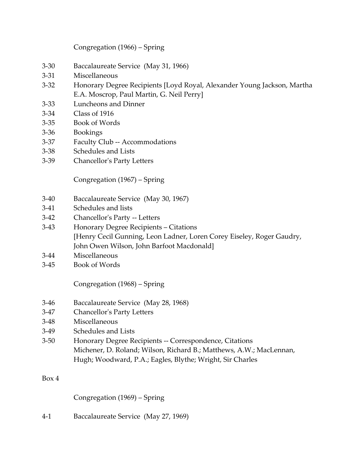Congregation (1966) – Spring

- 3-30 Baccalaureate Service (May 31, 1966)
- 3-31 Miscellaneous
- 3-32 Honorary Degree Recipients [Loyd Royal, Alexander Young Jackson, Martha E.A. Moscrop, Paul Martin, G. Neil Perry]
- 3-33 Luncheons and Dinner
- 3-34 Class of 1916
- 3-35 Book of Words
- 3-36 Bookings
- 3-37 Faculty Club -- Accommodations
- 3-38 Schedules and Lists
- 3-39 Chancellor's Party Letters

Congregation (1967) – Spring

- 3-40 Baccalaureate Service (May 30, 1967)
- 3-41 Schedules and lists
- 3-42 Chancellor's Party -- Letters
- 3-43 Honorary Degree Recipients Citations [Henry Cecil Gunning, Leon Ladner, Loren Corey Eiseley, Roger Gaudry, John Owen Wilson, John Barfoot Macdonald]
- 3-44 Miscellaneous
- 3-45 Book of Words

Congregation (1968) – Spring

- 3-46 Baccalaureate Service (May 28, 1968)
- 3-47 Chancellor's Party Letters
- 3-48 Miscellaneous
- 3-49 Schedules and Lists
- 3-50 Honorary Degree Recipients -- Correspondence, Citations Michener, D. Roland; Wilson, Richard B.; Matthews, A.W.; MacLennan, Hugh; Woodward, P.A.; Eagles, Blythe; Wright, Sir Charles

# Box 4

Congregation (1969) – Spring

4-1 Baccalaureate Service (May 27, 1969)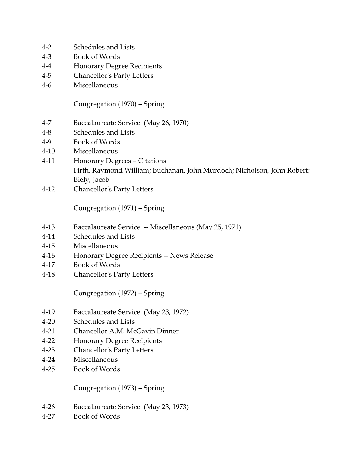- 4-2 Schedules and Lists
- 4-3 Book of Words
- 4-4 Honorary Degree Recipients
- 4-5 Chancellor's Party Letters
- 4-6 Miscellaneous

Congregation (1970) – Spring

- 4-7 Baccalaureate Service (May 26, 1970)
- 4-8 Schedules and Lists
- 4-9 Book of Words
- 4-10 Miscellaneous
- 4-11 Honorary Degrees Citations Firth, Raymond William; Buchanan, John Murdoch; Nicholson, John Robert; Biely, Jacob
- 4-12 Chancellor's Party Letters

Congregation (1971) – Spring

- 4-13 Baccalaureate Service -- Miscellaneous (May 25, 1971)
- 4-14 Schedules and Lists
- 4-15 Miscellaneous
- 4-16 Honorary Degree Recipients -- News Release
- 4-17 Book of Words
- 4-18 Chancellor's Party Letters

Congregation (1972) – Spring

- 4-19 Baccalaureate Service (May 23, 1972)
- 4-20 Schedules and Lists
- 4-21 Chancellor A.M. McGavin Dinner
- 4-22 Honorary Degree Recipients
- 4-23 Chancellor's Party Letters
- 4-24 Miscellaneous
- 4-25 Book of Words

Congregation (1973) – Spring

- 4-26 Baccalaureate Service (May 23, 1973)
- 4-27 Book of Words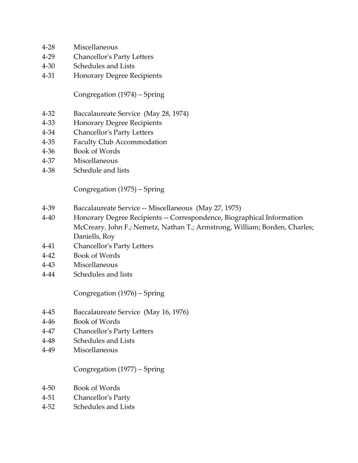- 4-28 Miscellaneous
- 4-29 Chancellor's Party Letters
- 4-30 Schedules and Lists
- 4-31 Honorary Degree Recipients

Congregation (1974) – Spring

- 4-32 Baccalaureate Service (May 28, 1974)
- 4-33 Honorary Degree Recipients
- 4-34 Chancellor's Party Letters
- 4-35 Faculty Club Accommodation
- 4-36 Book of Words
- 4-37 Miscellaneous
- 4-38 Schedule and lists

Congregation (1975) – Spring

- 4-39 Baccalaureate Service -- Miscellaneous (May 27, 1975)
- 4-40 Honorary Degree Recipients -- Correspondence, Biographical Information McCreary, John F.; Nemetz, Nathan T.; Armstrong, William; Borden, Charles; Daniells, Roy
- 4-41 Chancellor's Party Letters
- 4-42 Book of Words
- 4-43 Miscellaneous
- 4-44 Schedules and lists

Congregation (1976) – Spring

- 4-45 Baccalaureate Service (May 16, 1976)
- 4-46 Book of Words
- 4-47 Chancellor's Party Letters
- 4-48 Schedules and Lists
- 4-49 Miscellaneous

Congregation (1977) – Spring

- 4-50 Book of Words
- 4-51 Chancellor's Party
- 4-52 Schedules and Lists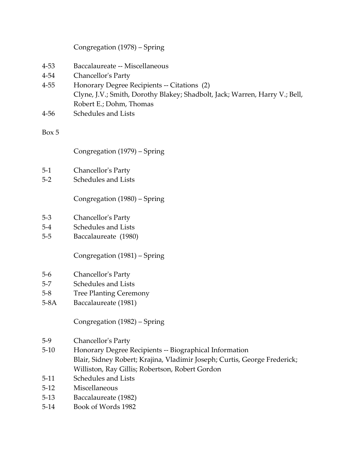|                                  | Congregation (1978) - Spring                                                                                                                                                                                  |
|----------------------------------|---------------------------------------------------------------------------------------------------------------------------------------------------------------------------------------------------------------|
| $4 - 53$<br>$4 - 54$<br>$4 - 55$ | Baccalaureate -- Miscellaneous<br>Chancellor's Party<br>Honorary Degree Recipients -- Citations (2)<br>Clyne, J.V.; Smith, Dorothy Blakey; Shadbolt, Jack; Warren, Harry V.; Bell,<br>Robert E.; Dohm, Thomas |
| $4 - 56$                         | Schedules and Lists                                                                                                                                                                                           |
| Box 5                            |                                                                                                                                                                                                               |
|                                  | Congregation (1979) – Spring                                                                                                                                                                                  |
| $5-1$                            | Chancellor's Party                                                                                                                                                                                            |
| $5 - 2$                          | Schedules and Lists                                                                                                                                                                                           |
|                                  | Congregation (1980) – Spring                                                                                                                                                                                  |
| $5-3$                            | Chancellor's Party                                                                                                                                                                                            |
| $5-4$                            | Schedules and Lists                                                                                                                                                                                           |
| $5-5$                            | Baccalaureate (1980)                                                                                                                                                                                          |
|                                  | Congregation (1981) – Spring                                                                                                                                                                                  |
| $5-6$                            | Chancellor's Party                                                                                                                                                                                            |
| $5 - 7$                          | Schedules and Lists                                                                                                                                                                                           |
| $5 - 8$                          | <b>Tree Planting Ceremony</b>                                                                                                                                                                                 |
| $5-8A$                           | Baccalaureate (1981)                                                                                                                                                                                          |
|                                  | Congregation (1982) – Spring                                                                                                                                                                                  |
| $5-9$                            | Chancellor's Party                                                                                                                                                                                            |
| $5 - 10$                         | Honorary Degree Recipients -- Biographical Information<br>Blair, Sidney Robert; Krajina, Vladimir Joseph; Curtis, George Frederick;                                                                           |
|                                  | Williston, Ray Gillis; Robertson, Robert Gordon                                                                                                                                                               |
| $5-11$                           | Schedules and Lists                                                                                                                                                                                           |
| $5-12$                           | Miscellaneous                                                                                                                                                                                                 |
| $5-13$                           | Baccalaureate (1982)                                                                                                                                                                                          |
| $5-14$                           | Book of Words 1982                                                                                                                                                                                            |
|                                  |                                                                                                                                                                                                               |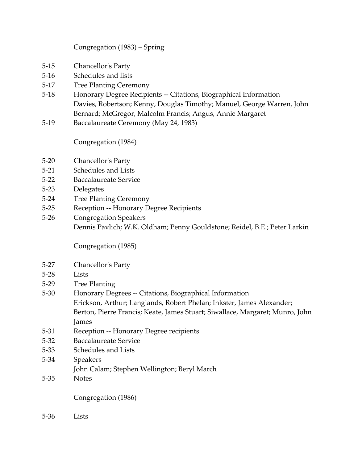# Congregation (1983) – Spring

- 5-15 Chancellor's Party
- 5-16 Schedules and lists
- 5-17 Tree Planting Ceremony
- 5-18 Honorary Degree Recipients -- Citations, Biographical Information Davies, Robertson; Kenny, Douglas Timothy; Manuel, George Warren, John Bernard; McGregor, Malcolm Francis; Angus, Annie Margaret
- 5-19 Baccalaureate Ceremony (May 24, 1983)

Congregation (1984)

- 5-20 Chancellor's Party
- 5-21 Schedules and Lists
- 5-22 Baccalaureate Service
- 5-23 Delegates
- 5-24 Tree Planting Ceremony
- 5-25 Reception -- Honorary Degree Recipients
- 5-26 Congregation Speakers Dennis Pavlich; W.K. Oldham; Penny Gouldstone; Reidel, B.E.; Peter Larkin

Congregation (1985)

- 5-27 Chancellor's Party
- 5-28 Lists
- 5-29 Tree Planting
- 5-30 Honorary Degrees -- Citations, Biographical Information Erickson, Arthur; Langlands, Robert Phelan; Inkster, James Alexander; Berton, Pierre Francis; Keate, James Stuart; Siwallace, Margaret; Munro, John James
- 5-31 Reception -- Honorary Degree recipients
- 5-32 Baccalaureate Service
- 5-33 Schedules and Lists
- 5-34 Speakers
	- John Calam; Stephen Wellington; Beryl March
- 5-35 Notes

Congregation (1986)

5-36 Lists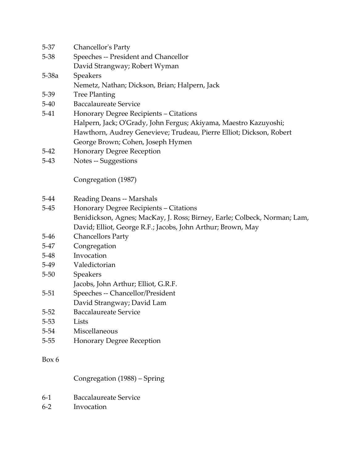| Chancellor's Party<br>5-37 |  |  |
|----------------------------|--|--|
|----------------------------|--|--|

- 5-38 Speeches -- President and Chancellor
	- David Strangway; Robert Wyman
- 5-38a Speakers
	- Nemetz, Nathan; Dickson, Brian; Halpern, Jack
- 5-39 Tree Planting
- 5-40 Baccalaureate Service
- 5-41 Honorary Degree Recipients Citations Halpern, Jack; O'Grady, John Fergus; Akiyama, Maestro Kazuyoshi; Hawthorn, Audrey Genevieve; Trudeau, Pierre Elliot; Dickson, Robert George Brown; Cohen, Joseph Hymen
- 5-42 Honorary Degree Reception
- 5-43 Notes -- Suggestions

Congregation (1987)

- 5-44 Reading Deans -- Marshals
- 5-45 Honorary Degree Recipients Citations Benidickson, Agnes; MacKay, J. Ross; Birney, Earle; Colbeck, Norman; Lam, David; Elliot, George R.F.; Jacobs, John Arthur; Brown, May
- 5-46 Chancellors Party
- 5-47 Congregation
- 5-48 Invocation
- 5-49 Valedictorian
- 5-50 Speakers
- Jacobs, John Arthur; Elliot, G.R.F.
- 5-51 Speeches -- Chancellor/President David Strangway; David Lam
- 5-52 Baccalaureate Service
- 5-53 Lists
- 5-54 Miscellaneous
- 5-55 Honorary Degree Reception

#### Box 6

Congregation (1988) – Spring

- 6-1 Baccalaureate Service
- 6-2 Invocation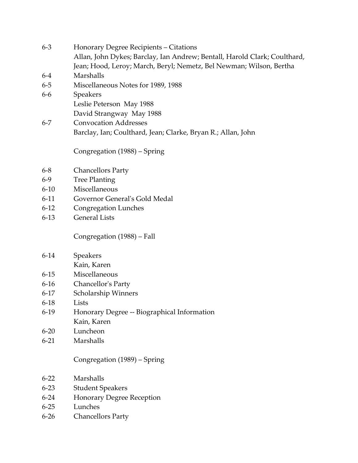| $6 - 3$  | Honorary Degree Recipients – Citations                                    |
|----------|---------------------------------------------------------------------------|
|          | Allan, John Dykes; Barclay, Ian Andrew; Bentall, Harold Clark; Coulthard, |
|          | Jean; Hood, Leroy; March, Beryl; Nemetz, Bel Newman; Wilson, Bertha       |
| $6-4$    | Marshalls                                                                 |
| $6 - 5$  | Miscellaneous Notes for 1989, 1988                                        |
| $6-6$    | <b>Speakers</b>                                                           |
|          | Leslie Peterson May 1988                                                  |
|          | David Strangway May 1988                                                  |
| $6 - 7$  | <b>Convocation Addresses</b>                                              |
|          | Barclay, Ian; Coulthard, Jean; Clarke, Bryan R.; Allan, John              |
|          | Congregation (1988) – Spring                                              |
| $6 - 8$  | <b>Chancellors Party</b>                                                  |
| $6 - 9$  | <b>Tree Planting</b>                                                      |
| $6 - 10$ | Miscellaneous                                                             |
| $6 - 11$ | Governor General's Gold Medal                                             |
| $6 - 12$ | Congregation Lunches                                                      |
| $6 - 13$ | <b>General Lists</b>                                                      |
|          | Congregation (1988) – Fall                                                |
| $6 - 14$ | Speakers                                                                  |
|          | Kain, Karen                                                               |
| $6 - 15$ | Miscellaneous                                                             |
| $6-16$   | Chancellor's Party                                                        |
| $6-17$   | Scholarship Winners                                                       |
| $6-18$   | Lists                                                                     |
| $6-19$   | Honorary Degree -- Biographical Information                               |
|          | Kain, Karen                                                               |
| $6 - 20$ | Luncheon                                                                  |
| $6 - 21$ | Marshalls                                                                 |
|          | Congregation (1989) - Spring                                              |
| $6 - 22$ | Marshalls                                                                 |
| $6 - 23$ | <b>Student Speakers</b>                                                   |
| $6 - 24$ | <b>Honorary Degree Reception</b>                                          |
| $6 - 25$ | Lunches                                                                   |
| $6 - 26$ | <b>Chancellors Party</b>                                                  |
|          |                                                                           |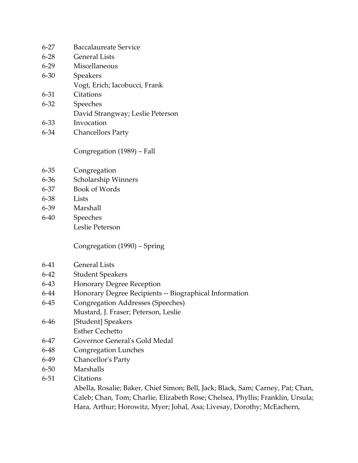| $6 - 27$ | <b>Baccalaureate Service</b>     |
|----------|----------------------------------|
| $6 - 28$ | <b>General Lists</b>             |
| $6 - 29$ | Miscellaneous                    |
| $6 - 30$ | <b>Speakers</b>                  |
|          | Vogt, Erich; Iacobucci, Frank    |
| 6-31     | Citations                        |
| $6 - 32$ | Speeches                         |
|          | David Strangway; Leslie Peterson |
| 6-33     | Invocation                       |
| $6 - 34$ | <b>Chancellors Party</b>         |

Congregation (1989) – Fall

- 6-35 Congregation
- 6-36 Scholarship Winners
- 6-37 Book of Words
- 6-38 Lists
- 6-39 Marshall
- 6-40 Speeches Leslie Peterson

Congregation (1990) – Spring

- 6-41 General Lists
- 6-42 Student Speakers
- 6-43 Honorary Degree Reception
- 6-44 Honorary Degree Recipients -- Biographical Information
- 6-45 Congregation Addresses (Speeches) Mustard, J. Fraser; Peterson, Leslie
- 6-46 [Student] Speakers Esther Cechetto
- 6-47 Governor General's Gold Medal
- 6-48 Congregation Lunches
- 6-49 Chancellor's Party
- 6-50 Marshalls
- 6-51 Citations

Abella, Rosalie; Baker, Chief Simon; Bell, Jack; Black, Sam; Carney, Pat; Chan, Caleb; Chan, Tom; Charlie, Elizabeth Rose; Chelsea, Phyllis; Franklin, Ursula; Hara, Arthur; Horowitz, Myer; Johal, Asa; Livesay, Dorothy; McEachern,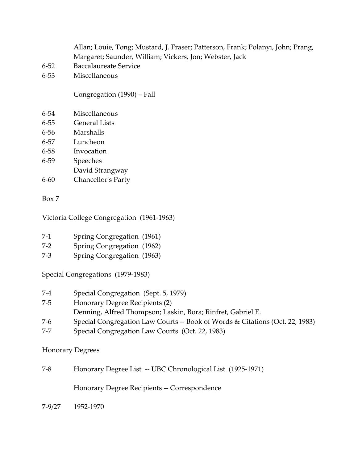Allan; Louie, Tong; Mustard, J. Fraser; Patterson, Frank; Polanyi, John; Prang, Margaret; Saunder, William; Vickers, Jon; Webster, Jack

- 6-52 Baccalaureate Service
- 6-53 Miscellaneous

Congregation (1990) – Fall

- 6-54 Miscellaneous
- 6-55 General Lists
- 6-56 Marshalls
- 6-57 Luncheon
- 6-58 Invocation
- 6-59 Speeches
- David Strangway
- 6-60 Chancellor's Party

Box 7

Victoria College Congregation (1961-1963)

- 7-1 Spring Congregation (1961)
- 7-2 Spring Congregation (1962)
- 7-3 Spring Congregation (1963)

Special Congregations (1979-1983)

- 7-4 Special Congregation (Sept. 5, 1979)
- 7-5 Honorary Degree Recipients (2)
- Denning, Alfred Thompson; Laskin, Bora; Rinfret, Gabriel E.
- 7-6 Special Congregation Law Courts -- Book of Words & Citations (Oct. 22, 1983)
- 7-7 Special Congregation Law Courts (Oct. 22, 1983)

Honorary Degrees

7-8 Honorary Degree List -- UBC Chronological List (1925-1971)

Honorary Degree Recipients -- Correspondence

7-9/27 1952-1970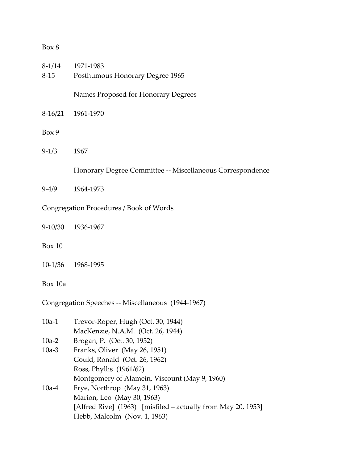| Box 8    |                                                                         |
|----------|-------------------------------------------------------------------------|
| $8 - 15$ | 8-1/14 1971-1983<br>Posthumous Honorary Degree 1965                     |
|          | Names Proposed for Honorary Degrees                                     |
|          | 8-16/21 1961-1970                                                       |
| Box 9    |                                                                         |
| $9-1/3$  | 1967                                                                    |
|          | Honorary Degree Committee -- Miscellaneous Correspondence               |
|          | 9-4/9 1964-1973                                                         |
|          | Congregation Procedures / Book of Words                                 |
|          | 9-10/30 1936-1967                                                       |
| Box 10   |                                                                         |
|          | 10-1/36 1968-1995                                                       |
| Box 10a  |                                                                         |
|          | Congregation Speeches -- Miscellaneous (1944-1967)                      |
| $10a-1$  | Trevor-Roper, Hugh (Oct. 30, 1944)<br>MacKenzie, N.A.M. (Oct. 26, 1944) |
| $10a-2$  | Brogan, P. (Oct. 30, 1952)                                              |
| $10a-3$  | Franks, Oliver (May 26, 1951)                                           |
|          | Gould, Ronald (Oct. 26, 1962)                                           |
|          | Ross, Phyllis (1961/62)                                                 |
|          | Montgomery of Alamein, Viscount (May 9, 1960)                           |
| $10a-4$  | Frye, Northrop (May 31, 1963)                                           |
|          | Marion, Leo (May 30, 1963)                                              |
|          | [Alfred Rive] (1963) [misfiled – actually from May 20, 1953]            |
|          | Hebb, Malcolm (Nov. 1, 1963)                                            |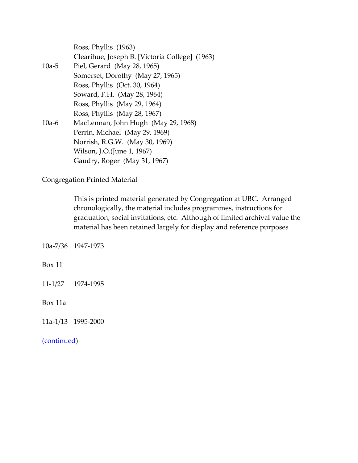|         | Ross, Phyllis (1963)                           |
|---------|------------------------------------------------|
|         | Clearihue, Joseph B. [Victoria College] (1963) |
| $10a-5$ | Piel, Gerard (May 28, 1965)                    |
|         | Somerset, Dorothy (May 27, 1965)               |
|         | Ross, Phyllis (Oct. 30, 1964)                  |
|         | Soward, F.H. (May 28, 1964)                    |
|         | Ross, Phyllis (May 29, 1964)                   |
|         | Ross, Phyllis (May 28, 1967)                   |
| $10a-6$ | MacLennan, John Hugh (May 29, 1968)            |
|         | Perrin, Michael (May 29, 1969)                 |
|         | Norrish, R.G.W. (May 30, 1969)                 |
|         | Wilson, J.O.(June 1, 1967)                     |
|         | Gaudry, Roger (May 31, 1967)                   |
|         |                                                |

Congregation Printed Material

This is printed material generated by Congregation at UBC. Arranged chronologically, the material includes programmes, instructions for graduation, social invitations, etc. Although of limited archival value the material has been retained largely for display and reference purposes

10a-7/36 1947-1973

Box 11

11-1/27 1974-1995

Box 11a

11a-1/13 1995-2000

[\(continued\)](#page-41-0)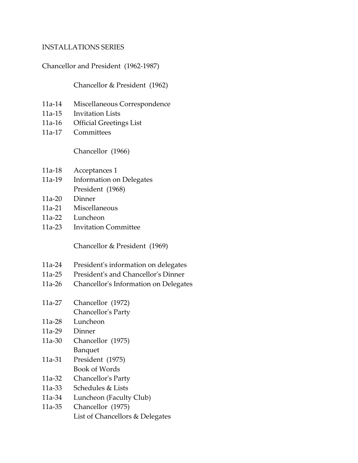#### <span id="page-20-0"></span>INSTALLATIONS SERIES

Chancellor and President (1962-1987)

Chancellor & President (1962)

- 11a-14 Miscellaneous Correspondence
- 11a-15 Invitation Lists
- 11a-16 Official Greetings List
- 11a-17 Committees

Chancellor (1966)

- 11a-18 Acceptances 1
- 11a-19 Information on Delegates President (1968)
- 11a-20 Dinner
- 11a-21 Miscellaneous
- 11a-22 Luncheon
- 11a-23 Invitation Committee

Chancellor & President (1969)

- 11a-24 President's information on delegates
- 11a-25 President's and Chancellor's Dinner
- 11a-26 Chancellor's Information on Delegates
- 11a-27 Chancellor (1972) Chancellor's Party
- 11a-28 Luncheon
- 11a-29 Dinner
- 11a-30 Chancellor (1975) Banquet
- 11a-31 President (1975) Book of Words
- 11a-32 Chancellor's Party
- 11a-33 Schedules & Lists
- 11a-34 Luncheon (Faculty Club)
- 11a-35 Chancellor (1975) List of Chancellors & Delegates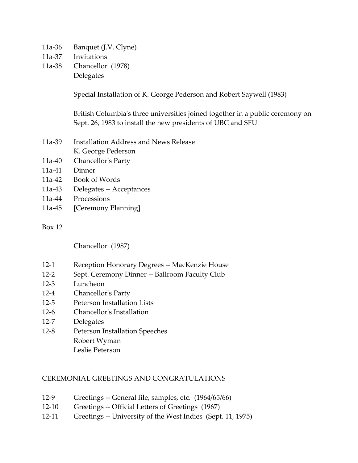- 11a-36 Banquet (J.V. Clyne)
- 11a-37 Invitations
- 11a-38 Chancellor (1978) Delegates

Special Installation of K. George Pederson and Robert Saywell (1983)

British Columbia's three universities joined together in a public ceremony on Sept. 26, 1983 to install the new presidents of UBC and SFU

- 11a-39 Installation Address and News Release K. George Pederson
- 11a-40 Chancellor's Party
- 11a-41 Dinner
- 11a-42 Book of Words
- 11a-43 Delegates -- Acceptances
- 11a-44 Processions
- 11a-45 [Ceremony Planning]

#### Box 12

Chancellor (1987)

- 12-1 Reception Honorary Degrees -- MacKenzie House
- 12-2 Sept. Ceremony Dinner -- Ballroom Faculty Club
- 12-3 Luncheon
- 12-4 Chancellor's Party
- 12-5 Peterson Installation Lists
- 12-6 Chancellor's Installation
- 12-7 Delegates
- 12-8 Peterson Installation Speeches Robert Wyman Leslie Peterson

# <span id="page-21-0"></span>CEREMONIAL GREETINGS AND CONGRATULATIONS

- 12-9 Greetings -- General file, samples, etc. (1964/65/66)
- 12-10 Greetings -- Official Letters of Greetings (1967)
- 12-11 Greetings -- University of the West Indies (Sept. 11, 1975)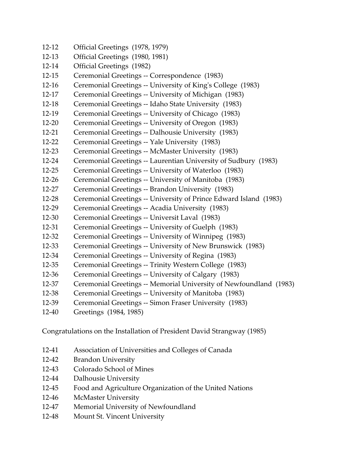12-12 Official Greetings (1978, 1979) 12-13 Official Greetings (1980, 1981) 12-14 Official Greetings (1982) 12-15 Ceremonial Greetings -- Correspondence (1983) 12-16 Ceremonial Greetings -- University of King's College (1983) 12-17 Ceremonial Greetings -- University of Michigan (1983) 12-18 Ceremonial Greetings -- Idaho State University (1983) 12-19 Ceremonial Greetings -- University of Chicago (1983) 12-20 Ceremonial Greetings -- University of Oregon (1983) 12-21 Ceremonial Greetings -- Dalhousie University (1983) 12-22 Ceremonial Greetings -- Yale University (1983) 12-23 Ceremonial Greetings -- McMaster University (1983) 12-24 Ceremonial Greetings -- Laurentian University of Sudbury (1983) 12-25 Ceremonial Greetings -- University of Waterloo (1983) 12-26 Ceremonial Greetings -- University of Manitoba (1983) 12-27 Ceremonial Greetings -- Brandon University (1983) 12-28 Ceremonial Greetings -- University of Prince Edward Island (1983) 12-29 Ceremonial Greetings -- Acadia University (1983) 12-30 Ceremonial Greetings -- Universit Laval (1983) 12-31 Ceremonial Greetings -- University of Guelph (1983) 12-32 Ceremonial Greetings -- University of Winnipeg (1983) 12-33 Ceremonial Greetings -- University of New Brunswick (1983) 12-34 Ceremonial Greetings -- University of Regina (1983) 12-35 Ceremonial Greetings -- Trinity Western College (1983) 12-36 Ceremonial Greetings -- University of Calgary (1983) 12-37 Ceremonial Greetings -- Memorial University of Newfoundland (1983) 12-38 Ceremonial Greetings -- University of Manitoba (1983) 12-39 Ceremonial Greetings -- Simon Fraser University (1983) 12-40 Greetings (1984, 1985)

Congratulations on the Installation of President David Strangway (1985)

- 12-41 Association of Universities and Colleges of Canada
- 12-42 Brandon University
- 12-43 Colorado School of Mines
- 12-44 Dalhousie University
- 12-45 Food and Agriculture Organization of the United Nations
- 12-46 McMaster University
- 12-47 Memorial University of Newfoundland
- 12-48 Mount St. Vincent University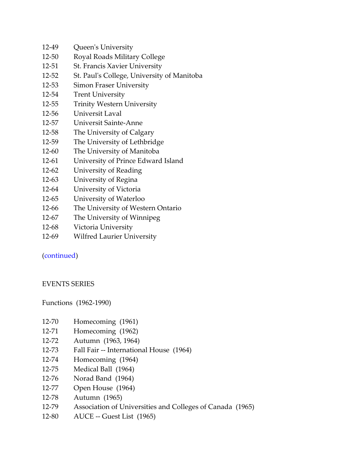- 12-49 Queen's University
- 12-50 Royal Roads Military College
- 12-51 St. Francis Xavier University
- 12-52 St. Paul's College, University of Manitoba
- 12-53 Simon Fraser University
- 12-54 Trent University
- 12-55 Trinity Western University
- 12-56 Universit Laval
- 12-57 Universit Sainte-Anne
- 12-58 The University of Calgary
- 12-59 The University of Lethbridge
- 12-60 The University of Manitoba
- 12-61 University of Prince Edward Island
- 12-62 University of Reading
- 12-63 University of Regina
- 12-64 University of Victoria
- 12-65 University of Waterloo
- 12-66 The University of Western Ontario
- 12-67 The University of Winnipeg
- 12-68 Victoria University
- 12-69 Wilfred Laurier University

# [\(continued\)](#page-40-0)

# <span id="page-23-0"></span>EVENTS SERIES

Functions (1962-1990)

- 12-70 Homecoming (1961)
- 12-71 Homecoming (1962)
- 12-72 Autumn (1963, 1964)
- 12-73 Fall Fair -- International House (1964)
- 12-74 Homecoming (1964)
- 12-75 Medical Ball (1964)
- 12-76 Norad Band (1964)
- 12-77 Open House (1964)
- 12-78 Autumn (1965)
- 12-79 Association of Universities and Colleges of Canada (1965)
- 12-80 AUCE -- Guest List (1965)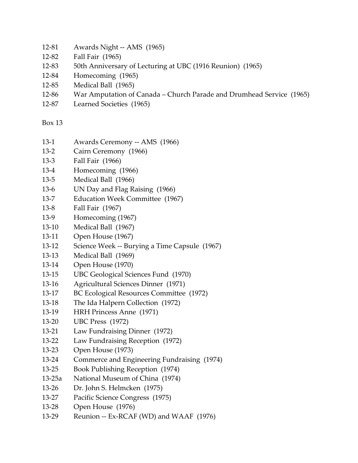- 12-81 Awards Night -- AMS (1965)
- 12-82 Fall Fair (1965)
- 12-83 50th Anniversary of Lecturing at UBC (1916 Reunion) (1965)
- 12-84 Homecoming (1965)
- 12-85 Medical Ball (1965)
- 12-86 War Amputation of Canada Church Parade and Drumhead Service (1965)
- 12-87 Learned Societies (1965)

- 13-1 Awards Ceremony -- AMS (1966)
- 13-2 Cairn Ceremony (1966)
- 13-3 Fall Fair (1966)
- 13-4 Homecoming (1966)
- 13-5 Medical Ball (1966)
- 13-6 UN Day and Flag Raising (1966)
- 13-7 Education Week Committee (1967)
- 13-8 Fall Fair (1967)
- 13-9 Homecoming (1967)
- 13-10 Medical Ball (1967)
- 13-11 Open House (1967)
- 13-12 Science Week -- Burying a Time Capsule (1967)
- 13-13 Medical Ball (1969)
- 13-14 Open House (1970)
- 13-15 UBC Geological Sciences Fund (1970)
- 13-16 Agricultural Sciences Dinner (1971)
- 13-17 BC Ecological Resources Committee (1972)
- 13-18 The Ida Halpern Collection (1972)
- 13-19 HRH Princess Anne (1971)
- 13-20 UBC Press (1972)
- 13-21 Law Fundraising Dinner (1972)
- 13-22 Law Fundraising Reception (1972)
- 13-23 Open House (1973)
- 13-24 Commerce and Engineering Fundraising (1974)
- 13-25 Book Publishing Reception (1974)
- 13-25a National Museum of China (1974)
- 13-26 Dr. John S. Helmcken (1975)
- 13-27 Pacific Science Congress (1975)
- 13-28 Open House (1976)
- 13-29 Reunion -- Ex-RCAF (WD) and WAAF (1976)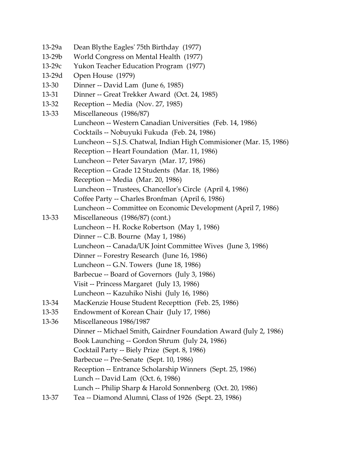- 13-29a Dean Blythe Eagles' 75th Birthday (1977)
- 13-29b World Congress on Mental Health (1977)
- 13-29c Yukon Teacher Education Program (1977)
- 13-29d Open House (1979)
- 13-30 Dinner -- David Lam (June 6, 1985)
- 13-31 Dinner -- Great Trekker Award (Oct. 24, 1985)
- 13-32 Reception -- Media (Nov. 27, 1985)
- 13-33 Miscellaneous (1986/87)
	- Luncheon -- Western Canadian Universities (Feb. 14, 1986)
	- Cocktails -- Nobuyuki Fukuda (Feb. 24, 1986)
	- Luncheon -- S.J.S. Chatwal, Indian High Commisioner (Mar. 15, 1986)
	- Reception -- Heart Foundation (Mar. 11, 1986)
	- Luncheon -- Peter Savaryn (Mar. 17, 1986)
	- Reception -- Grade 12 Students (Mar. 18, 1986)
	- Reception -- Media (Mar. 20, 1986)
	- Luncheon -- Trustees, Chancellor's Circle (April 4, 1986)
	- Coffee Party -- Charles Bronfman (April 6, 1986)
	- Luncheon -- Committee on Economic Development (April 7, 1986)
- 13-33 Miscellaneous (1986/87) (cont.) Luncheon -- H. Rocke Robertson (May 1, 1986) Dinner -- C.B. Bourne (May 1, 1986) Luncheon -- Canada/UK Joint Committee Wives (June 3, 1986) Dinner -- Forestry Research (June 16, 1986) Luncheon -- G.N. Towers (June 18, 1986) Barbecue -- Board of Governors (July 3, 1986) Visit -- Princess Margaret (July 13, 1986)
	- Luncheon -- Kazuhiko Nishi (July 16, 1986)
- 13-34 MacKenzie House Student Recepttion (Feb. 25, 1986)
- 13-35 Endowment of Korean Chair (July 17, 1986)
- 13-36 Miscellaneous 1986/1987 Dinner -- Michael Smith, Gairdner Foundation Award (July 2, 1986) Book Launching -- Gordon Shrum (July 24, 1986) Cocktail Party -- Biely Prize (Sept. 8, 1986) Barbecue -- Pre-Senate (Sept. 10, 1986) Reception -- Entrance Scholarship Winners (Sept. 25, 1986) Lunch -- David Lam (Oct. 6, 1986) Lunch -- Philip Sharp & Harold Sonnenberg (Oct. 20, 1986)
- 13-37 Tea -- Diamond Alumni, Class of 1926 (Sept. 23, 1986)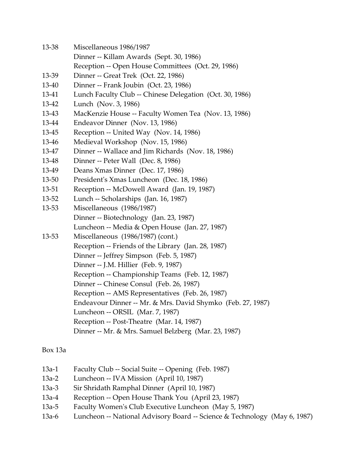- 13-38 Miscellaneous 1986/1987
	- Dinner -- Killam Awards (Sept. 30, 1986)
	- Reception -- Open House Committees (Oct. 29, 1986)
- 13-39 Dinner -- Great Trek (Oct. 22, 1986)
- 13-40 Dinner -- Frank Joubin (Oct. 23, 1986)
- 13-41 Lunch Faculty Club -- Chinese Delegation (Oct. 30, 1986)
- 13-42 Lunch (Nov. 3, 1986)
- 13-43 MacKenzie House -- Faculty Women Tea (Nov. 13, 1986)
- 13-44 Endeavor Dinner (Nov. 13, 1986)
- 13-45 Reception -- United Way (Nov. 14, 1986)
- 13-46 Medieval Workshop (Nov. 15, 1986)
- 13-47 Dinner -- Wallace and Jim Richards (Nov. 18, 1986)
- 13-48 Dinner -- Peter Wall (Dec. 8, 1986)
- 13-49 Deans Xmas Dinner (Dec. 17, 1986)
- 13-50 President's Xmas Luncheon (Dec. 18, 1986)
- 13-51 Reception -- McDowell Award (Jan. 19, 1987)
- 13-52 Lunch -- Scholarships (Jan. 16, 1987)
- 13-53 Miscellaneous (1986/1987) Dinner -- Biotechnology (Jan. 23, 1987) Luncheon -- Media & Open House (Jan. 27, 1987)
- 13-53 Miscellaneous (1986/1987) (cont.) Reception -- Friends of the Library (Jan. 28, 1987) Dinner -- Jeffrey Simpson (Feb. 5, 1987) Dinner -- J.M. Hillier (Feb. 9, 1987) Reception -- Championship Teams (Feb. 12, 1987) Dinner -- Chinese Consul (Feb. 26, 1987) Reception -- AMS Representatives (Feb. 26, 1987) Endeavour Dinner -- Mr. & Mrs. David Shymko (Feb. 27, 1987) Luncheon -- ORSIL (Mar. 7, 1987) Reception -- Post-Theatre (Mar. 14, 1987) Dinner -- Mr. & Mrs. Samuel Belzberg (Mar. 23, 1987)

# Box 13a

- 13a-1 Faculty Club -- Social Suite -- Opening (Feb. 1987)
- 13a-2 Luncheon -- IVA Mission (April 10, 1987)
- 13a-3 Sir Shridath Ramphal Dinner (April 10, 1987)
- 13a-4 Reception -- Open House Thank You (April 23, 1987)
- 13a-5 Faculty Women's Club Executive Luncheon (May 5, 1987)
- 13a-6 Luncheon -- National Advisory Board -- Science & Technology (May 6, 1987)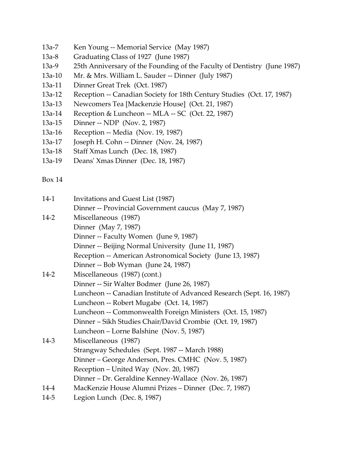- 13a-7 Ken Young -- Memorial Service (May 1987)
- 13a-8 Graduating Class of 1927 (June 1987)
- 13a-9 25th Anniversary of the Founding of the Faculty of Dentistry (June 1987)
- 13a-10 Mr. & Mrs. William L. Sauder -- Dinner (July 1987)
- 13a-11 Dinner Great Trek (Oct. 1987)
- 13a-12 Reception -- Canadian Society for 18th Century Studies (Oct. 17, 1987)
- 13a-13 Newcomers Tea [Mackenzie House] (Oct. 21, 1987)
- 13a-14 Reception & Luncheon -- MLA -- SC (Oct. 22, 1987)
- 13a-15 Dinner -- NDP (Nov. 2, 1987)
- 13a-16 Reception -- Media (Nov. 19, 1987)
- 13a-17 Joseph H. Cohn -- Dinner (Nov. 24, 1987)
- 13a-18 Staff Xmas Lunch (Dec. 18, 1987)
- 13a-19 Deans' Xmas Dinner (Dec. 18, 1987)

| $14-1$   | Invitations and Guest List (1987)                                    |
|----------|----------------------------------------------------------------------|
|          | Dinner -- Provincial Government caucus (May 7, 1987)                 |
| $14 - 2$ | Miscellaneous (1987)                                                 |
|          | Dinner (May 7, 1987)                                                 |
|          | Dinner -- Faculty Women (June 9, 1987)                               |
|          | Dinner -- Beijing Normal University (June 11, 1987)                  |
|          | Reception -- American Astronomical Society (June 13, 1987)           |
|          | Dinner -- Bob Wyman (June 24, 1987)                                  |
| $14 - 2$ | Miscellaneous (1987) (cont.)                                         |
|          | Dinner -- Sir Walter Bodmer (June 26, 1987)                          |
|          | Luncheon -- Canadian Institute of Advanced Research (Sept. 16, 1987) |
|          | Luncheon -- Robert Mugabe (Oct. 14, 1987)                            |
|          | Luncheon -- Commonwealth Foreign Ministers (Oct. 15, 1987)           |
|          | Dinner – Sikh Studies Chair/David Crombie (Oct. 19, 1987)            |
|          | Luncheon – Lorne Balshine (Nov. 5, 1987)                             |
| 14-3     | Miscellaneous (1987)                                                 |
|          | Strangway Schedules (Sept. 1987 -- March 1988)                       |
|          | Dinner – George Anderson, Pres. CMHC (Nov. 5, 1987)                  |
|          | Reception – United Way (Nov. 20, 1987)                               |
|          | Dinner – Dr. Geraldine Kenney-Wallace (Nov. 26, 1987)                |
| 14-4     | MacKenzie House Alumni Prizes - Dinner (Dec. 7, 1987)                |
| $14 - 5$ | Legion Lunch (Dec. 8, 1987)                                          |
|          |                                                                      |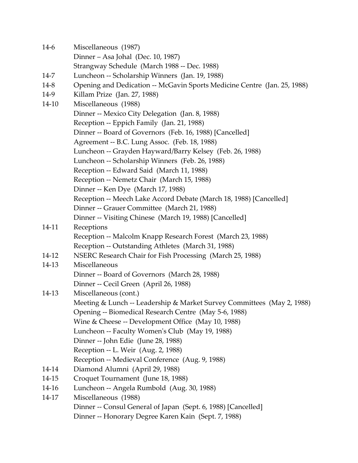14-6 Miscellaneous (1987) Dinner – Asa Johal (Dec. 10, 1987) Strangway Schedule (March 1988 -- Dec. 1988) 14-7 Luncheon -- Scholarship Winners (Jan. 19, 1988) 14-8 Opening and Dedication -- McGavin Sports Medicine Centre (Jan. 25, 1988) 14-9 Killam Prize (Jan. 27, 1988) 14-10 Miscellaneous (1988) Dinner -- Mexico City Delegation (Jan. 8, 1988) Reception -- Eppich Family (Jan. 21, 1988) Dinner -- Board of Governors (Feb. 16, 1988) [Cancelled] Agreement -- B.C. Lung Assoc. (Feb. 18, 1988) Luncheon -- Grayden Hayward/Barry Kelsey (Feb. 26, 1988) Luncheon -- Scholarship Winners (Feb. 26, 1988) Reception -- Edward Said (March 11, 1988) Reception -- Nemetz Chair (March 15, 1988) Dinner -- Ken Dye (March 17, 1988) Reception -- Meech Lake Accord Debate (March 18, 1988) [Cancelled] Dinner -- Grauer Committee (March 21, 1988) Dinner -- Visiting Chinese (March 19, 1988) [Cancelled] 14-11 Receptions Reception -- Malcolm Knapp Research Forest (March 23, 1988) Reception -- Outstanding Athletes (March 31, 1988) 14-12 NSERC Research Chair for Fish Processing (March 25, 1988) 14-13 Miscellaneous Dinner -- Board of Governors (March 28, 1988) Dinner -- Cecil Green (April 26, 1988) 14-13 Miscellaneous (cont.) Meeting & Lunch -- Leadership & Market Survey Committees (May 2, 1988) Opening -- Biomedical Research Centre (May 5-6, 1988) Wine & Cheese -- Development Office (May 10, 1988) Luncheon -- Faculty Women's Club (May 19, 1988) Dinner -- John Edie (June 28, 1988) Reception -- L. Weir (Aug. 2, 1988) Reception -- Medieval Conference (Aug. 9, 1988) 14-14 Diamond Alumni (April 29, 1988) 14-15 Croquet Tournament (June 18, 1988) 14-16 Luncheon -- Angela Rumbold (Aug. 30, 1988) 14-17 Miscellaneous (1988) Dinner -- Consul General of Japan (Sept. 6, 1988) [Cancelled] Dinner -- Honorary Degree Karen Kain (Sept. 7, 1988)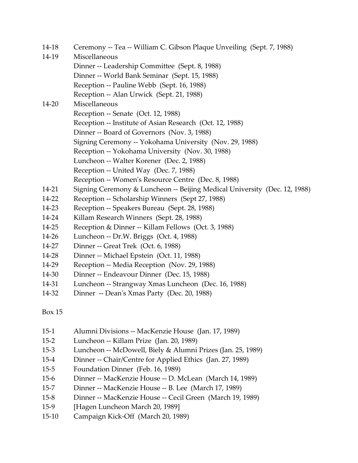- 14-18 Ceremony -- Tea -- William C. Gibson Plaque Unveiling (Sept. 7, 1988)
- 14-19 Miscellaneous
	- Dinner -- Leadership Committee (Sept. 8, 1988)
	- Dinner -- World Bank Seminar (Sept. 15, 1988)
	- Reception -- Pauline Webb (Sept. 16, 1988)
	- Reception -- Alan Urwick (Sept. 21, 1988)

# 14-20 Miscellaneous

Reception -- Senate (Oct. 12, 1988)

- Reception -- Institute of Asian Research (Oct. 12, 1988)
- Dinner -- Board of Governors (Nov. 3, 1988)
- Signing Ceremony -- Yokohama University (Nov. 29, 1988)
- Reception -- Yokohama University (Nov. 30, 1988)
	- Luncheon -- Walter Korener (Dec. 2, 1988)
- Reception -- United Way (Dec. 7, 1988)
- Reception -- Women's Resource Centre (Dec. 8, 1988)
- 14-21 Signing Ceremony & Luncheon -- Beijing Medical University (Dec. 12, 1988)
- 14-22 Reception -- Scholarship Winners (Sept 27, 1988)
- 14-23 Reception -- Speakers Bureau (Sept. 28, 1988)
- 14-24 Killam Research Winners (Sept. 28, 1988)
- 14-25 Reception & Dinner -- Killam Fellows (Oct. 3, 1988)
- 14-26 Luncheon -- Dr.W. Briggs (Oct. 4, 1988)
- 14-27 Dinner -- Great Trek (Oct. 6, 1988)
- 14-28 Dinner -- Michael Epstein (Oct. 11, 1988)
- 14-29 Reception -- Media Reception (Nov. 29, 1988)
- 14-30 Dinner -- Endeavour Dinner (Dec. 15, 1988)
- 14-31 Luncheon -- Strangway Xmas Luncheon (Dec. 16, 1988)
- 14-32 Dinner -- Dean's Xmas Party (Dec. 20, 1988)

- 15-1 Alumni Divisions -- MacKenzie House (Jan. 17, 1989)
- 15-2 Luncheon -- Killam Prize (Jan. 20, 1989)
- 15-3 Luncheon -- McDowell, Biely & Alumni Prizes (Jan. 25, 1989)
- 15-4 Dinner -- Chair/Centre for Applied Ethics (Jan. 27, 1989)
- 15-5 Foundation Dinner (Feb. 16, 1989)
- 15-6 Dinner -- MacKenzie House -- D. McLean (March 14, 1989)
- 15-7 Dinner -- MacKenzie House -- B. Lee (March 17, 1989)
- 15-8 Dinner -- MacKenzie House -- Cecil Green (March 19, 1989)
- 15-9 [Hagen Luncheon March 20, 1989]
- 15-10 Campaign Kick-Off (March 20, 1989)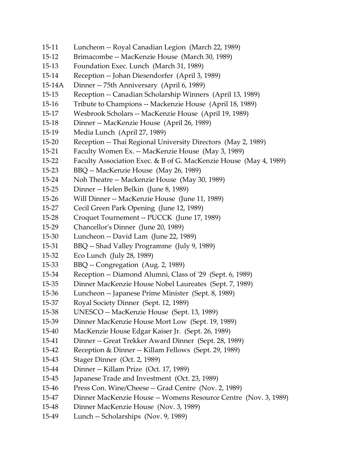- 15-11 Luncheon -- Royal Canadian Legion (March 22, 1989)
- 15-12 Brimacombe -- MacKenzie House (March 30, 1989)
- 15-13 Foundation Exec. Lunch (March 31, 1989)
- 15-14 Reception -- Johan Diesendorfer (April 3, 1989)
- 15-14A Dinner -- 75th Anniversary (April 6, 1989)
- 15-15 Reception -- Canadian Scholarship Winners (April 13, 1989)
- 15-16 Tribute to Champions -- Mackenzie House (April 18, 1989)
- 15-17 Wesbrook Scholars -- MacKenzie House (April 19, 1989)
- 15-18 Dinner -- MacKenzie House (April 26, 1989)
- 15-19 Media Lunch (April 27, 1989)
- 15-20 Reception -- Thai Regional University Directors (May 2, 1989)
- 15-21 Faculty Women Ex. -- MacKenzie House (May 3, 1989)
- 15-22 Faculty Association Exec. & B of G. MacKenzie House (May 4, 1989)
- 15-23 BBQ -- MacKenzie House (May 26, 1989)
- 15-24 Noh Theatre -- Mackenzie House (May 30, 1989)
- 15-25 Dinner -- Helen Belkin (June 8, 1989)
- 15-26 Will Dinner -- MacKenzie House (June 11, 1989)
- 15-27 Cecil Green Park Opening (June 12, 1989)
- 15-28 Croquet Tournement -- PUCCK (June 17, 1989)
- 15-29 Chancellor's Dinner (June 20, 1989)
- 15-30 Luncheon -- David Lam (June 22, 1989)
- 15-31 BBQ -- Shad Valley Programme (July 9, 1989)
- 15-32 Eco Lunch (July 28, 1989)
- 15-33 BBQ -- Congregation (Aug. 2, 1989)
- 15-34 Reception -- Diamond Alumni, Class of '29 (Sept. 6, 1989)
- 15-35 Dinner MacKenzie House Nobel Laureates (Sept. 7, 1989)
- 15-36 Luncheon -- Japanese Prime Minister (Sept. 8, 1989)
- 15-37 Royal Society Dinner (Sept. 12, 1989)
- 15-38 UNESCO -- MacKenzie House (Sept. 13, 1989)
- 15-39 Dinner MacKenzie House Mort Low (Sept. 19, 1989)
- 15-40 MacKenzie House Edgar Kaiser Jr. (Sept. 26, 1989)
- 15-41 Dinner -- Great Trekker Award Dinner (Sept. 28, 1989)
- 15-42 Reception & Dinner -- Killam Fellows (Sept. 29, 1989)
- 15-43 Stager Dinner (Oct. 2, 1989)
- 15-44 Dinner -- Killam Prize (Oct. 17, 1989)
- 15-45 Japanese Trade and Investment (Oct. 23, 1989)
- 15-46 Press Con. Wine/Cheese -- Grad Centre (Nov. 2, 1989)
- 15-47 Dinner MacKenzie House -- Womens Resource Centre (Nov. 3, 1989)
- 15-48 Dinner MacKenzie House (Nov. 3, 1989)
- 15-49 Lunch -- Scholarships (Nov. 9, 1989)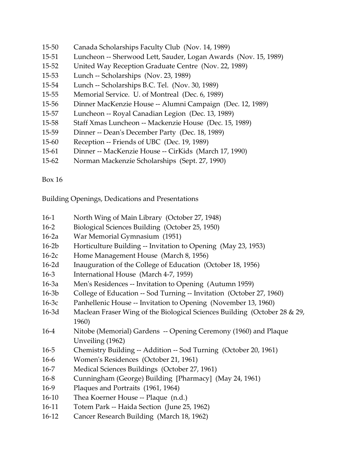- 15-50 Canada Scholarships Faculty Club (Nov. 14, 1989)
- 15-51 Luncheon -- Sherwood Lett, Sauder, Logan Awards (Nov. 15, 1989)
- 15-52 United Way Reception Graduate Centre (Nov. 22, 1989)
- 15-53 Lunch -- Scholarships (Nov. 23, 1989)
- 15-54 Lunch -- Scholarships B.C. Tel. (Nov. 30, 1989)
- 15-55 Memorial Service. U. of Montreal (Dec. 6, 1989)
- 15-56 Dinner MacKenzie House -- Alumni Campaign (Dec. 12, 1989)
- 15-57 Luncheon -- Royal Canadian Legion (Dec. 13, 1989)
- 15-58 Staff Xmas Luncheon -- Mackenzie House (Dec. 15, 1989)
- 15-59 Dinner -- Dean's December Party (Dec. 18, 1989)
- 15-60 Reception -- Friends of UBC (Dec. 19, 1989)
- 15-61 Dinner -- MacKenzie House -- CirKids (March 17, 1990)
- 15-62 Norman Mackenzie Scholarships (Sept. 27, 1990)

Building Openings, Dedications and Presentations

- 16-1 North Wing of Main Library (October 27, 1948)
- 16-2 Biological Sciences Building (October 25, 1950)
- 16-2a War Memorial Gymnasium (1951)
- 16-2b Horticulture Building -- Invitation to Opening (May 23, 1953)
- 16-2c Home Management House (March 8, 1956)
- 16-2d Inauguration of the College of Education (October 18, 1956)
- 16-3 International House (March 4-7, 1959)
- 16-3a Men's Residences -- Invitation to Opening (Autumn 1959)
- 16-3b College of Education -- Sod Turning -- Invitation (October 27, 1960)
- 16-3c Panhellenic House -- Invitation to Opening (November 13, 1960)
- 16-3d Maclean Fraser Wing of the Biological Sciences Building (October 28 & 29, 1960)
- 16-4 Nitobe (Memorial) Gardens -- Opening Ceremony (1960) and Plaque Unveiling (1962)
- 16-5 Chemistry Building -- Addition -- Sod Turning (October 20, 1961)
- 16-6 Women's Residences (October 21, 1961)
- 16-7 Medical Sciences Buildings (October 27, 1961)
- 16-8 Cunningham (George) Building [Pharmacy] (May 24, 1961)
- 16-9 Plaques and Portraits (1961, 1964)
- 16-10 Thea Koerner House -- Plaque (n.d.)
- 16-11 Totem Park -- Haida Section (June 25, 1962)
- 16-12 Cancer Research Building (March 18, 1962)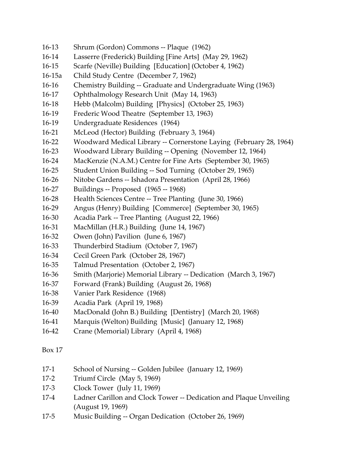- 16-13 Shrum (Gordon) Commons -- Plaque (1962)
- 16-14 Lasserre (Frederick) Building [Fine Arts] (May 29, 1962)
- 16-15 Scarfe (Neville) Building [Education] (October 4, 1962)
- 16-15a Child Study Centre (December 7, 1962)
- 16-16 Chemistry Building -- Graduate and Undergraduate Wing (1963)
- 16-17 Ophthalmology Research Unit (May 14, 1963)
- 16-18 Hebb (Malcolm) Building [Physics] (October 25, 1963)
- 16-19 Frederic Wood Theatre (September 13, 1963)
- 16-19 Undergraduate Residences (1964)
- 16-21 McLeod (Hector) Building (February 3, 1964)
- 16-22 Woodward Medical Library -- Cornerstone Laying (February 28, 1964)
- 16-23 Woodward Library Building -- Opening (November 12, 1964)
- 16-24 MacKenzie (N.A.M.) Centre for Fine Arts (September 30, 1965)
- 16-25 Student Union Building -- Sod Turning (October 29, 1965)
- 16-26 Nitobe Gardens -- Ishadora Presentation (April 28, 1966)
- 16-27 Buildings -- Proposed (1965 -- 1968)
- 16-28 Health Sciences Centre -- Tree Planting (June 30, 1966)
- 16-29 Angus (Henry) Building [Commerce] (September 30, 1965)
- 16-30 Acadia Park -- Tree Planting (August 22, 1966)
- 16-31 MacMillan (H.R.) Building (June 14, 1967)
- 16-32 Owen (John) Pavilion (June 6, 1967)
- 16-33 Thunderbird Stadium (October 7, 1967)
- 16-34 Cecil Green Park (October 28, 1967)
- 16-35 Talmud Presentation (October 2, 1967)
- 16-36 Smith (Marjorie) Memorial Library -- Dedication (March 3, 1967)
- 16-37 Forward (Frank) Building (August 26, 1968)
- 16-38 Vanier Park Residence (1968)
- 16-39 Acadia Park (April 19, 1968)
- 16-40 MacDonald (John B.) Building [Dentistry] (March 20, 1968)
- 16-41 Marquis (Welton) Building [Music] (January 12, 1968)
- 16-42 Crane (Memorial) Library (April 4, 1968)

- 17-1 School of Nursing -- Golden Jubilee (January 12, 1969)
- 17-2 Triumf Circle (May 5, 1969)
- 17-3 Clock Tower (July 11, 1969)
- 17-4 Ladner Carillon and Clock Tower -- Dedication and Plaque Unveiling (August 19, 1969)
- 17-5 Music Building -- Organ Dedication (October 26, 1969)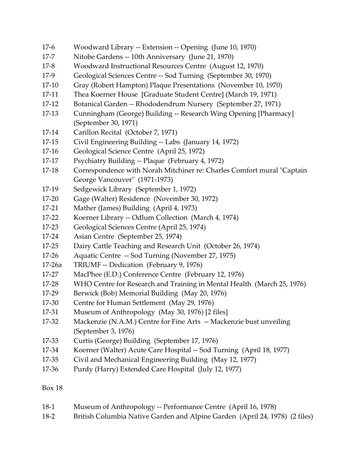- 17-6 Woodward Library -- Extension -- Opening (June 10, 1970)
- 17-7 Nitobe Gardens -- 10th Anniversary (June 21, 1970)
- 17-8 Woodward Instructional Resources Centre (August 12, 1970)
- 17-9 Geological Sciences Centre -- Sod Turning (September 30, 1970)
- 17-10 Gray (Robert Hampton) Plaque Presentations (November 10, 1970)
- 17-11 Thea Koerner House [Graduate Student Centre] (March 19, 1971)
- 17-12 Botanical Garden -- Rhododendrum Nursery (September 27, 1971)
- 17-13 Cunningham (George) Building -- Research Wing Opening [Pharmacy] (September 30, 1971)
- 17-14 Carillon Recital (October 7, 1971)
- 17-15 Civil Engineering Building -- Labs (January 14, 1972)
- 17-16 Geological Science Centre (April 25, 1972)
- 17-17 Psychiatry Building -- Plaque (February 4, 1972)
- 17-18 Correspondence with Norah Mitchiner re: Charles Comfort mural "Captain George Vancouver" (1971-1973)
- 17-19 Sedgewick Library (September 1, 1972)
- 17-20 Gage (Walter) Residence (November 30, 1972)
- 17-21 Mather (James) Building (April 4, 1973)
- 17-22 Koerner Library -- Odlum Collection (March 4, 1974)
- 17-23 Geological Sciences Centre (April 25, 1974)
- 17-24 Asian Centre (September 25, 1974)
- 17-25 Dairy Cattle Teaching and Research Unit (October 26, 1974)
- 17-26 Aquatic Centre -- Sod Turning (November 27, 1975)
- 17-26a TRIUMF -- Dedication (February 9, 1976)
- 17-27 MacPhee (E.D.) Conference Centre (February 12, 1976)
- 17-28 WHO Centre for Research and Training in Mental Health (March 25, 1976)
- 17-29 Berwick (Bob) Memorial Building (May 20, 1976)
- 17-30 Centre for Human Settlement (May 29, 1976)
- 17-31 Museum of Anthropology (May 30, 1976) [2 files]
- 17-32 Mackenzie (N.A.M.) Centre for Fine Arts -- Mackenzie bust unveiling (September 3, 1976)
- 17-33 Curtis (George) Building (September 17, 1976)
- 17-34 Koerner (Walter) Acute Care Hospital -- Sod Turning (April 18, 1977)
- 17-35 Civil and Mechanical Engineering Building (May 12, 1977)
- 17-36 Purdy (Harry) Extended Care Hospital (July 12, 1977)

- 18-1 Museum of Anthropology -- Performance Centre (April 16, 1978)
- 18-2 British Columbia Native Garden and Alpine Garden (April 24, 1978) (2 files)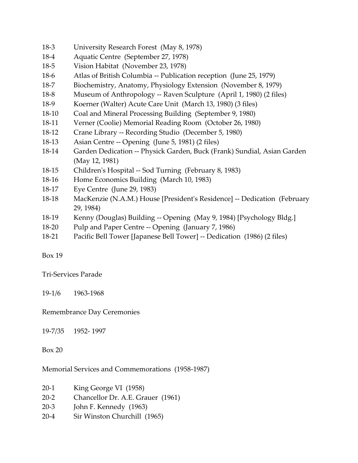- 18-3 University Research Forest (May 8, 1978)
- 18-4 Aquatic Centre (September 27, 1978)
- 18-5 Vision Habitat (November 23, 1978)
- 18-6 Atlas of British Columbia -- Publication reception (June 25, 1979)
- 18-7 Biochemistry, Anatomy, Physiology Extension (November 8, 1979)
- 18-8 Museum of Anthropology -- Raven Sculpture (April 1, 1980) (2 files)
- 18-9 Koerner (Walter) Acute Care Unit (March 13, 1980) (3 files)
- 18-10 Coal and Mineral Processing Building (September 9, 1980)
- 18-11 Verner (Coolie) Memorial Reading Room (October 26, 1980)
- 18-12 Crane Library -- Recording Studio (December 5, 1980)
- 18-13 Asian Centre -- Opening (June 5, 1981) (2 files)
- 18-14 Garden Dedication -- Physick Garden, Buck (Frank) Sundial, Asian Garden (May 12, 1981)
- 18-15 Children's Hospital -- Sod Turning (February 8, 1983)
- 18-16 Home Economics Building (March 10, 1983)
- 18-17 Eye Centre (June 29, 1983)
- 18-18 MacKenzie (N.A.M.) House [President's Residence] -- Dedication (February 29, 1984)
- 18-19 Kenny (Douglas) Building -- Opening (May 9, 1984) [Psychology Bldg.]
- 18-20 Pulp and Paper Centre -- Opening (January 7, 1986)
- 18-21 Pacific Bell Tower [Japanese Bell Tower] -- Dedication (1986) (2 files)

Tri-Services Parade

19-1/6 1963-1968

Remembrance Day Ceremonies

19-7/35 1952- 1997

Box 20

Memorial Services and Commemorations (1958-1987)

| $20-1$   | King George VI (1958)             |
|----------|-----------------------------------|
| $20 - 2$ | Chancellor Dr. A.E. Grauer (1961) |
| $20 - 3$ | John F. Kennedy (1963)            |
| $20 - 4$ | Sir Winston Churchill (1965)      |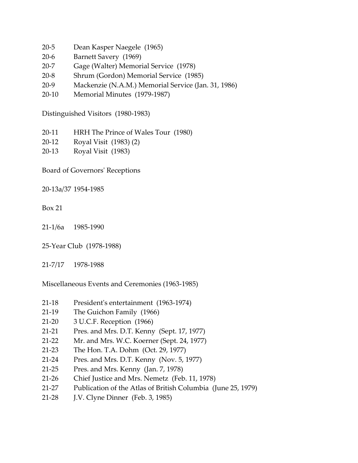- 20-5 Dean Kasper Naegele (1965)
- 20-6 Barnett Savery (1969)
- 20-7 Gage (Walter) Memorial Service (1978)
- 20-8 Shrum (Gordon) Memorial Service (1985)
- 20-9 Mackenzie (N.A.M.) Memorial Service (Jan. 31, 1986)
- 20-10 Memorial Minutes (1979-1987)

Distinguished Visitors (1980-1983)

- 20-11 HRH The Prince of Wales Tour (1980)
- 20-12 Royal Visit (1983) (2)
- 20-13 Royal Visit (1983)

Board of Governors' Receptions

20-13a/37 1954-1985

- Box 21
- 21-1/6a 1985-1990
- 25-Year Club (1978-1988)
- 21-7/17 1978-1988

Miscellaneous Events and Ceremonies (1963-1985)

- 21-18 President's entertainment (1963-1974)
- 21-19 The Guichon Family (1966)
- 21-20 3 U.C.F. Reception (1966)
- 21-21 Pres. and Mrs. D.T. Kenny (Sept. 17, 1977)
- 21-22 Mr. and Mrs. W.C. Koerner (Sept. 24, 1977)
- 21-23 The Hon. T.A. Dohm (Oct. 29, 1977)
- 21-24 Pres. and Mrs. D.T. Kenny (Nov. 5, 1977)
- 21-25 Pres. and Mrs. Kenny (Jan. 7, 1978)
- 21-26 Chief Justice and Mrs. Nemetz (Feb. 11, 1978)
- 21-27 Publication of the Atlas of British Columbia (June 25, 1979)
- 21-28 J.V. Clyne Dinner (Feb. 3, 1985)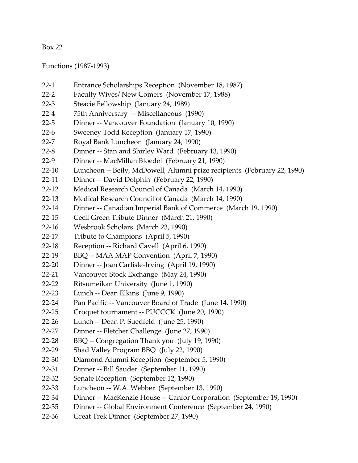Functions (1987-1993)

- 22-1 Entrance Scholarships Reception (November 18, 1987)
- 22-2 Faculty Wives/ New Comers (November 17, 1988)
- 22-3 Steacie Fellowship (January 24, 1989)
- 22-4 75th Anniversary -- Miscellaneous (1990)
- 22-5 Dinner -- Vancouver Foundation (January 10, 1990)
- 22-6 Sweeney Todd Reception (January 17, 1990)
- 22-7 Royal Bank Luncheon (January 24, 1990)
- 22-8 Dinner -- Stan and Shirley Ward (February 13, 1990)
- 22-9 Dinner -- MacMillan Bloedel (February 21, 1990)
- 22-10 Luncheon -- Beily, McDowell, Alumni prize recipients (February 22, 1990)
- 22-11 Dinner -- David Dolphin (February 22, 1990)
- 22-12 Medical Research Council of Canada (March 14, 1990)
- 22-13 Medical Research Council of Canada (March 14, 1990)
- 22-14 Dinner -- Canadian Imperial Bank of Commerce (March 19, 1990)
- 22-15 Cecil Green Tribute Dinner (March 21, 1990)
- 22-16 Wesbrook Scholars (March 23, 1990)
- 22-17 Tribute to Champions (April 5, 1990)
- 22-18 Reception -- Richard Cavell (April 6, 1990)
- 22-19 BBQ -- MAA MAP Convention (April 7, 1990)
- 22-20 Dinner -- Joan Carlisle-Irving (April 19, 1990)
- 22-21 Vancouver Stock Exchange (May 24, 1990)
- 22-22 Ritsumeikan University (June 1, 1990)
- 22-23 Lunch -- Dean Elkins (June 9, 1990)
- 22-24 Pan Pacific -- Vancouver Board of Trade (June 14, 1990)
- 22-25 Croquet tournament -- PUCCCK (June 20, 1990)
- 22-26 Lunch -- Dean P. Suedfeld (June 25, 1990)
- 22-27 Dinner -- Fletcher Challenge (June 27, 1990)
- 22-28 BBQ -- Congregation Thank you (July 19, 1990)
- 22-29 Shad Valley Program BBQ (July 22, 1990)
- 22-30 Diamond Alumni Reception (September 5, 1990)
- 22-31 Dinner -- Bill Sauder (September 11, 1990)
- 22-32 Senate Reception (September 12, 1990)
- 22-33 Luncheon -- W.A. Webber (September 13, 1990)
- 22-34 Dinner -- MacKenzie House -- Canfor Corporation (September 19, 1990)
- 22-35 Dinner -- Global Environment Conference (September 24, 1990)
- 22-36 Great Trek Dinner (September 27, 1990)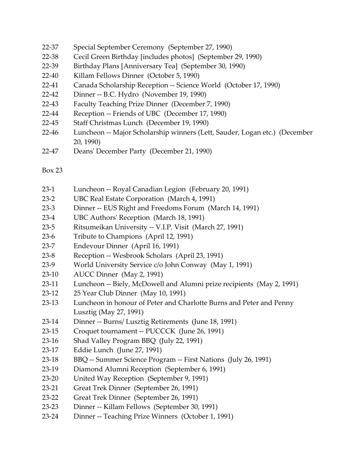- 22-37 Special September Ceremony (September 27, 1990)
- 22-38 Cecil Green Birthday [includes photos] (September 29, 1990)
- 22-39 Birthday Plans [Anniversary Tea] (September 30, 1990)
- 22-40 Killam Fellows Dinner (October 5, 1990)
- 22-41 Canada Scholarship Reception -- Science World (October 17, 1990)
- 22-42 Dinner -- B.C. Hydro (November 19, 1990)
- 22-43 Faculty Teaching Prize Dinner (December 7, 1990)
- 22-44 Reception -- Friends of UBC (December 17, 1990)
- 22-45 Staff Christmas Lunch (December 19, 1990)
- 22-46 Luncheon -- Major Scholarship winners (Lett, Sauder, Logan etc.) (December 20, 1990)
- 22-47 Deans' December Party (December 21, 1990)

- 23-1 Luncheon -- Royal Canadian Legion (February 20, 1991)
- 23-2 UBC Real Estate Corporation (March 4, 1991)
- 23-3 Dinner -- EUS Right and Freedoms Forum (March 14, 1991)
- 23-4 UBC Authors' Reception (March 18, 1991)
- 23-5 Ritsumeikan University -- V.I.P. Visit (March 27, 1991)
- 23-6 Tribute to Champions (April 12, 1991)
- 23-7 Endevour Dinner (April 16, 1991)
- 23-8 Reception -- Wesbrook Scholars (April 23, 1991)
- 23-9 World University Service c/o John Conway (May 1, 1991)
- 23-10 AUCC Dinner (May 2, 1991)
- 23-11 Luncheon -- Biely, McDowell and Alumni prize recipients (May 2, 1991)
- 23-12 25 Year Club Dinner (May 10, 1991)
- 23-13 Luncheon in honour of Peter and Charlotte Burns and Peter and Penny Lusztig (May 27, 1991)
- 23-14 Dinner -- Burns/ Lusztig Retirements (June 18, 1991)
- 23-15 Croquet tournament -- PUCCCK (June 26, 1991)
- 23-16 Shad Valley Program BBQ (July 22, 1991)
- 23-17 Eddie Lunch (June 27, 1991)
- 23-18 BBQ -- Summer Science Program -- First Nations (July 26, 1991)
- 23-19 Diamond Alumni Reception (September 6, 1991)
- 23-20 United Way Reception (September 9, 1991)
- 23-21 Great Trek Dinner (September 26, 1991)
- 23-22 Great Trek Dinner (September 26, 1991)
- 23-23 Dinner -- Killam Fellows (September 30, 1991)
- 23-24 Dinner -- Teaching Prize Winners (October 1, 1991)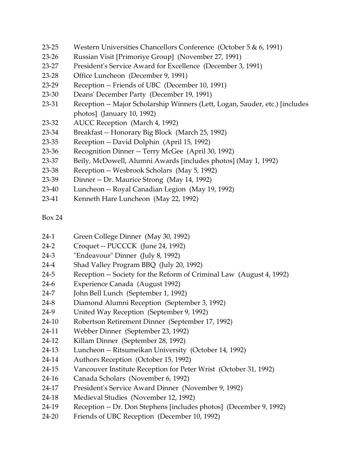- 23-25 Western Universities Chancellors Conference (October 5 & 6, 1991)
- 23-26 Russian Visit [Primoriye Group] (November 27, 1991)
- 23-27 President's Service Award for Excellence (December 3, 1991)
- 23-28 Office Luncheon (December 9, 1991)
- 23-29 Reception -- Friends of UBC (December 10, 1991)
- 23-30 Deans' December Party (December 19, 1991)
- 23-31 Reception -- Major Scholarship Winners (Lett, Logan, Sauder, etc.) [includes photos] (January 10, 1992)
- 23-32 AUCC Reception (March 4, 1992)
- 23-34 Breakfast -- Honorary Big Block (March 25, 1992)
- 23-35 Reception -- David Dolphin (April 15, 1992)
- 23-36 Recognition Dinner -- Terry McGee (April 30, 1992)
- 23-37 Beily, McDowell, Alumni Awards [includes photos] (May 1, 1992)
- 23-38 Reception -- Wesbrook Scholars (May 5, 1992)
- 23-39 Dinner -- Dr. Maurice Strong (May 14, 1992)
- 23-40 Luncheon -- Royal Canadian Legion (May 19, 1992)
- 23-41 Kenneth Hare Luncheon (May 22, 1992)

- 24-1 Green College Dinner (May 30, 1992)
- 24-2 Croquet -- PUCCCK (June 24, 1992)
- 24-3 "Endeavour" Dinner (July 8, 1992)
- 24-4 Shad Valley Program BBQ (July 20, 1992)
- 24-5 Reception -- Society for the Reform of Criminal Law (August 4, 1992)
- 24-6 Experience Canada (August 1992)
- 24-7 John Bell Lunch (September 1, 1992)
- 24-8 Diamond Alumni Reception (September 3, 1992)
- 24-9 United Way Reception (September 9, 1992)
- 24-10 Robertson Retirement Dinner (September 17, 1992)
- 24-11 Webber Dinner (September 23, 1992)
- 24-12 Killam Dinner (September 28, 1992)
- 24-13 Luncheon -- Ritsumeikan University (October 14, 1992)
- 24-14 Authors Reception (October 15, 1992)
- 24-15 Vancouver Institute Reception for Peter Wrist (October 31, 1992)
- 24-16 Canada Scholars (November 6, 1992)
- 24-17 President's Service Award Dinner (November 9, 1992)
- 24-18 Medieval Studies (November 12, 1992)
- 24-19 Reception -- Dr. Don Stephens [includes photos] (December 9, 1992)
- 24-20 Friends of UBC Reception (December 10, 1992)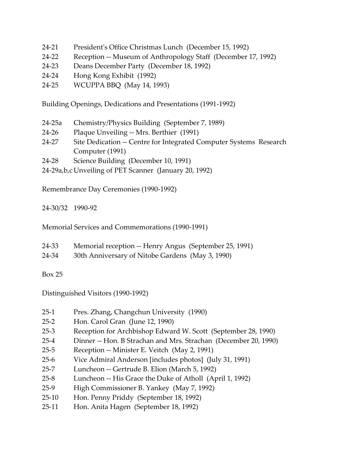- 24-21 President's Office Christmas Lunch (December 15, 1992)
- 24-22 Reception -- Museum of Anthropology Staff (December 17, 1992)
- 24-23 Deans December Party (December 18, 1992)
- 24-24 Hong Kong Exhibit (1992)
- 24-25 WCUPPA BBQ (May 14, 1993)

Building Openings, Dedications and Presentations (1991-1992)

- 24-25a Chemistry/Physics Building (September 7, 1989)
- 24-26 Plaque Unveiling -- Mrs. Berthier (1991)
- 24-27 Site Dedication -- Centre for Integrated Computer Systems Research Computer (1991)
- 24-28 Science Building (December 10, 1991)
- 24-29a,b,c Unveiling of PET Scanner (January 20, 1992)

Remembrance Day Ceremonies (1990-1992)

24-30/32 1990-92

Memorial Services and Commemorations (1990-1991)

| 24-33 | Memorial reception -- Henry Angus (September 25, 1991) |
|-------|--------------------------------------------------------|
| 24-34 | 30th Anniversary of Nitobe Gardens (May 3, 1990)       |

Box 25

Distinguished Visitors (1990-1992)

- 25-1 Pres. Zhang, Changchun University (1990)
- 25-2 Hon. Carol Gran (June 12, 1990)
- 25-3 Reception for Archbishop Edward W. Scott (September 28, 1990)
- 25-4 Dinner -- Hon. B Strachan and Mrs. Strachan (December 20, 1990)
- 25-5 Reception -- Minister E. Veitch (May 2, 1991)
- 25-6 Vice Admiral Anderson [includes photos] (July 31, 1991)
- 25-7 Luncheon -- Gertrude B. Elion (March 5, 1992)
- 25-8 Luncheon -- His Grace the Duke of Atholl (April 1, 1992)
- 25-9 High Commissioner B. Yankey (May 7, 1992)
- 25-10 Hon. Penny Priddy (September 18, 1992)
- 25-11 Hon. Anita Hagen (September 18, 1992)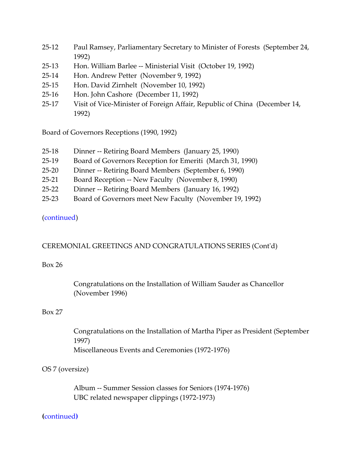- 25-12 Paul Ramsey, Parliamentary Secretary to Minister of Forests (September 24, 1992)
- 25-13 Hon. William Barlee -- Ministerial Visit (October 19, 1992)
- 25-14 Hon. Andrew Petter (November 9, 1992)
- 25-15 Hon. David Zirnhelt (November 10, 1992)
- 25-16 Hon. John Cashore (December 11, 1992)
- 25-17 Visit of Vice-Minister of Foreign Affair, Republic of China (December 14, 1992)

Board of Governors Receptions (1990, 1992)

- 25-18 Dinner -- Retiring Board Members (January 25, 1990)
- 25-19 Board of Governors Reception for Emeriti (March 31, 1990)
- 25-20 Dinner -- Retiring Board Members (September 6, 1990)
- 25-21 Board Reception -- New Faculty (November 8, 1990)
- 25-22 Dinner -- Retiring Board Members (January 16, 1992)
- 25-23 Board of Governors meet New Faculty (November 19, 1992)

#### [\(continued\)](#page-44-1)

# <span id="page-40-0"></span>CEREMONIAL GREETINGS AND CONGRATULATIONS SERIES (Cont'd)

#### Box 26

Congratulations on the Installation of William Sauder as Chancellor (November 1996)

#### Box 27

Congratulations on the Installation of Martha Piper as President (September 1997) Miscellaneous Events and Ceremonies (1972-1976)

# OS 7 (oversize)

Album -- Summer Session classes for Seniors (1974-1976) UBC related newspaper clippings (1972-1973)

#### **(**[continued](#page-46-1)**)**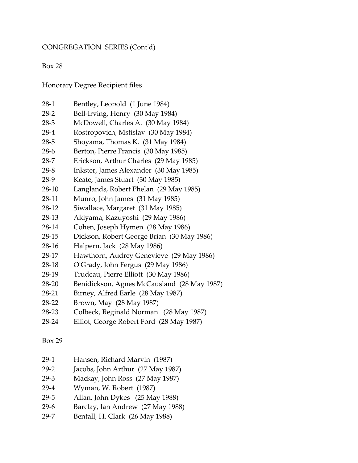### <span id="page-41-0"></span>CONGREGATION SERIES (Cont'd)

#### Box 28

Honorary Degree Recipient files

- 28-1 Bentley, Leopold (1 June 1984)
- 28-2 Bell-Irving, Henry (30 May 1984)
- 28-3 McDowell, Charles A. (30 May 1984)
- 28-4 Rostropovich, Mstislav (30 May 1984)
- 28-5 Shoyama, Thomas K. (31 May 1984)
- 28-6 Berton, Pierre Francis (30 May 1985)
- 28-7 Erickson, Arthur Charles (29 May 1985)
- 28-8 Inkster, James Alexander (30 May 1985)
- 28-9 Keate, James Stuart (30 May 1985)
- 28-10 Langlands, Robert Phelan (29 May 1985)
- 28-11 Munro, John James (31 May 1985)
- 28-12 Siwallace, Margaret (31 May 1985)
- 28-13 Akiyama, Kazuyoshi (29 May 1986)
- 28-14 Cohen, Joseph Hymen (28 May 1986)
- 28-15 Dickson, Robert George Brian (30 May 1986)
- 28-16 Halpern, Jack (28 May 1986)
- 28-17 Hawthorn, Audrey Genevieve (29 May 1986)
- 28-18 O'Grady, John Fergus (29 May 1986)
- 28-19 Trudeau, Pierre Elliott (30 May 1986)
- 28-20 Benidickson, Agnes McCausland (28 May 1987)
- 28-21 Birney, Alfred Earle (28 May 1987)
- 28-22 Brown, May (28 May 1987)
- 28-23 Colbeck, Reginald Norman (28 May 1987)
- 28-24 Elliot, George Robert Ford (28 May 1987)

- 29-1 Hansen, Richard Marvin (1987)
- 29-2 Jacobs, John Arthur (27 May 1987)
- 29-3 Mackay, John Ross (27 May 1987)
- 29-4 Wyman, W. Robert (1987)
- 29-5 Allan, John Dykes (25 May 1988)
- 29-6 Barclay, Ian Andrew (27 May 1988)
- 29-7 Bentall, H. Clark (26 May 1988)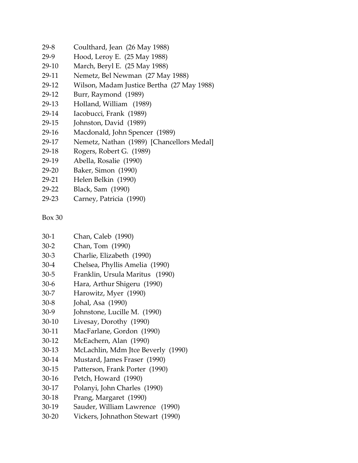- 29-8 Coulthard, Jean (26 May 1988)
- 29-9 Hood, Leroy E. (25 May 1988)
- 29-10 March, Beryl E. (25 May 1988)
- 29-11 Nemetz, Bel Newman (27 May 1988)
- 29-12 Wilson, Madam Justice Bertha (27 May 1988)
- 29-12 Burr, Raymond (1989)
- 29-13 Holland, William (1989)
- 29-14 Iacobucci, Frank (1989)
- 29-15 Johnston, David (1989)
- 29-16 Macdonald, John Spencer (1989)
- 29-17 Nemetz, Nathan (1989) [Chancellors Medal]
- 29-18 Rogers, Robert G. (1989)
- 29-19 Abella, Rosalie (1990)
- 29-20 Baker, Simon (1990)
- 29-21 Helen Belkin (1990)
- 29-22 Black, Sam (1990)
- 29-23 Carney, Patricia (1990)

- 30-1 Chan, Caleb (1990) 30-2 Chan, Tom (1990)
- 30-3 Charlie, Elizabeth (1990)
- 30-4 Chelsea, Phyllis Amelia (1990)
- 30-5 Franklin, Ursula Maritus (1990)
- 30-6 Hara, Arthur Shigeru (1990)
- 30-7 Harowitz, Myer (1990)
- 30-8 Johal, Asa (1990)
- 30-9 Johnstone, Lucille M. (1990)
- 30-10 Livesay, Dorothy (1990)
- 30-11 MacFarlane, Gordon (1990)
- 30-12 McEachern, Alan (1990)
- 30-13 McLachlin, Mdm Jtce Beverly (1990)
- 30-14 Mustard, James Fraser (1990)
- 30-15 Patterson, Frank Porter (1990)
- 30-16 Petch, Howard (1990)
- 30-17 Polanyi, John Charles (1990)
- 30-18 Prang, Margaret (1990)
- 30-19 Sauder, William Lawrence (1990)
- 30-20 Vickers, Johnathon Stewart (1990)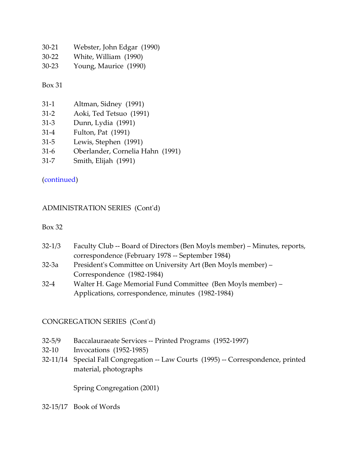- 30-21 Webster, John Edgar (1990)
- 30-22 White, William (1990)
- 30-23 Young, Maurice (1990)

| $31-1$   | Altman, Sidney (1991)   |
|----------|-------------------------|
| $31 - 2$ | Aoki, Ted Tetsuo (1991) |

- 31-3 Dunn, Lydia (1991)
- 31-4 Fulton, Pat (1991)
- 31-5 Lewis, Stephen (1991)
- 31-6 Oberlander, Cornelia Hahn (1991)
- 31-7 Smith, Elijah (1991)

# [\(continued\)](#page-43-1)

# <span id="page-43-0"></span>ADMINISTRATION SERIES (Cont'd)

#### Box 32

- 32-1/3 Faculty Club -- Board of Directors (Ben Moyls member) Minutes, reports, correspondence (February 1978 -- September 1984)
- 32-3a President's Committee on University Art (Ben Moyls member) Correspondence (1982-1984)
- 32-4 Walter H. Gage Memorial Fund Committee (Ben Moyls member) Applications, correspondence, minutes (1982-1984)

# <span id="page-43-1"></span>CONGREGATION SERIES (Cont'd)

- 32-5/9 Baccalauraeate Services -- Printed Programs (1952-1997)
- 32-10 Invocations (1952-1985)
- 32-11/14 Special Fall Congregation -- Law Courts (1995) -- Correspondence, printed material, photographs

Spring Congregation (2001)

32-15/17 Book of Words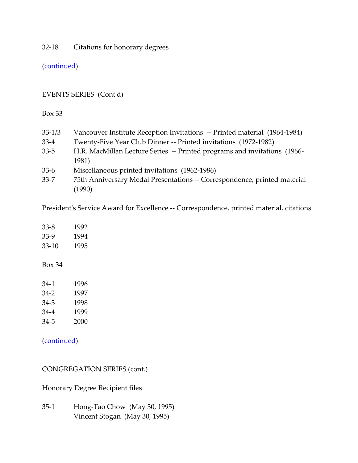32-18 Citations for honorary degrees

[\(continued\)](#page-44-0)

# <span id="page-44-1"></span>EVENTS SERIES (Cont'd)

Box 33

| $33 - 1/3$ | Vancouver Institute Reception Invitations -- Printed material (1964-1984) |
|------------|---------------------------------------------------------------------------|
| $33-4$     | Twenty-Five Year Club Dinner -- Printed invitations (1972-1982)           |
| $33 - 5$   | H.R. MacMillan Lecture Series -- Printed programs and invitations (1966-  |
|            | 1981)                                                                     |
| $33-6$     | Miscellaneous printed invitations (1962-1986)                             |
| $33 - 7$   | 75th Anniversary Medal Presentations -- Correspondence, printed material  |
|            | (1990)                                                                    |

President's Service Award for Excellence -- Correspondence, printed material, citations

| $33 - 8$  | 1992 |
|-----------|------|
| 33-9      | 1994 |
| $33 - 10$ | 1995 |
| Box 34    |      |
| 34-1      | 1996 |
| $34-2$    | 1997 |
| 34-3      | 1998 |
| 34-4      | 1999 |

34-5 2000

[\(continued\)](#page-46-2)

<span id="page-44-0"></span>CONGREGATION SERIES (cont.)

Honorary Degree Recipient files

35-1 Hong-Tao Chow (May 30, 1995) Vincent Stogan (May 30, 1995)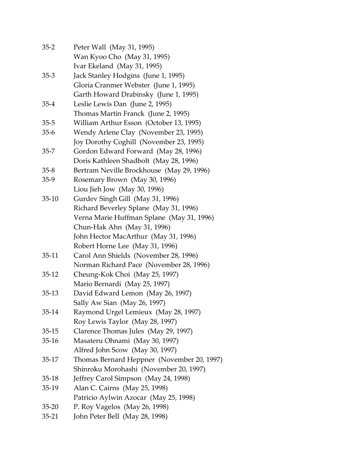| $35 - 2$  | Peter Wall (May 31, 1995)                  |
|-----------|--------------------------------------------|
|           | Wan Kyoo Cho (May 31, 1995)                |
|           | Ivar Ekeland (May 31, 1995)                |
| $35-3$    | Jack Stanley Hodgins (June 1, 1995)        |
|           | Gloria Cranmer Webster (June 1, 1995)      |
|           | Garth Howard Drabinsky (June 1, 1995)      |
| $35-4$    | Leslie Lewis Dan (June 2, 1995)            |
|           | Thomas Martin Franck (June 2, 1995)        |
| $35 - 5$  | William Arthur Esson (October 13, 1995)    |
| $35-6$    | Wendy Arlene Clay (November 23, 1995)      |
|           | Joy Dorothy Coghill (November 23, 1995)    |
| $35 - 7$  | Gordon Edward Forward (May 28, 1996)       |
|           | Doris Kathleen Shadbolt (May 28, 1996)     |
| $35 - 8$  | Bertram Neville Brockhouse (May 29, 1996)  |
| $35-9$    | Rosemary Brown (May 30, 1996)              |
|           | Liou Jieh Jow (May 30, 1996)               |
| $35-10$   | Gurdev Singh Gill (May 31, 1996)           |
|           | Richard Beverley Splane (May 31, 1996)     |
|           | Verna Marie Huffman Splane (May 31, 1996)  |
|           | Chun-Hak Ahn (May 31, 1996)                |
|           | John Hector MacArthur (May 31, 1996)       |
|           | Robert Horne Lee (May 31, 1996)            |
| $35-11$   | Carol Ann Shields (November 28, 1996)      |
|           | Norman Richard Pace (November 28, 1996)    |
| $35-12$   | Cheung-Kok Choi (May 25, 1997)             |
|           | Mario Bernardi (May 25, 1997)              |
| $35-13$   | David Edward Lemon (May 26, 1997)          |
|           | Sally Aw Sian (May 26, 1997)               |
| $35-14$   | Raymond Urgel Lemieux (May 28, 1997)       |
|           | Roy Lewis Taylor (May 28, 1997)            |
| $35-15$   | Clarence Thomas Jules (May 29, 1997)       |
| $35-16$   | Masateru Ohnami (May 30, 1997)             |
|           | Alfred John Scow (May 30, 1997)            |
| $35-17$   | Thomas Bernard Heppner (November 20, 1997) |
|           | Shinroku Morohashi (November 20, 1997)     |
| $35-18$   | Jeffrey Carol Simpson (May 24, 1998)       |
| $35-19$   | Alan C. Cairns (May 25, 1998)              |
|           | Patricio Aylwin Azocar (May 25, 1998)      |
| $35 - 20$ | P. Roy Vagelos (May 26, 1998)              |
| $35 - 21$ | John Peter Bell (May 28, 1998)             |
|           |                                            |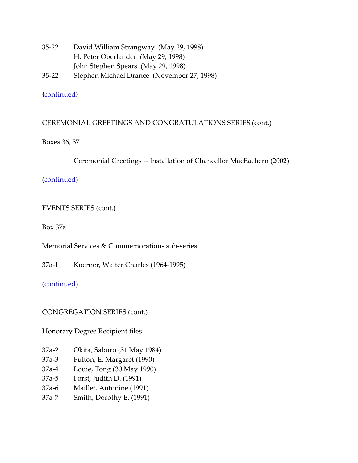- 35-22 David William Strangway (May 29, 1998) H. Peter Oberlander (May 29, 1998) John Stephen Spears (May 29, 1998) 35-22 Stephen Michael Drance (November 27, 1998)
- 

# **(**[continued](#page-46-0)**)**

# <span id="page-46-1"></span>CEREMONIAL GREETINGS AND CONGRATULATIONS SERIES (cont.)

Boxes 36, 37

Ceremonial Greetings -- Installation of Chancellor MacEachern (2002)

[\(continued\)](#page-49-0)

<span id="page-46-2"></span>EVENTS SERIES (cont.)

Box 37a

Memorial Services & Commemorations sub-series

37a-1 Koerner, Walter Charles (1964-1995)

[\(continued\)](#page-49-1)

<span id="page-46-0"></span>CONGREGATION SERIES (cont.)

Honorary Degree Recipient files

- 37a-2 Okita, Saburo (31 May 1984)
- 37a-3 Fulton, E. Margaret (1990)
- 37a-4 Louie, Tong (30 May 1990)
- 37a-5 Forst, Judith D. (1991)
- 37a-6 Maillet, Antonine (1991)
- 37a-7 Smith, Dorothy E. (1991)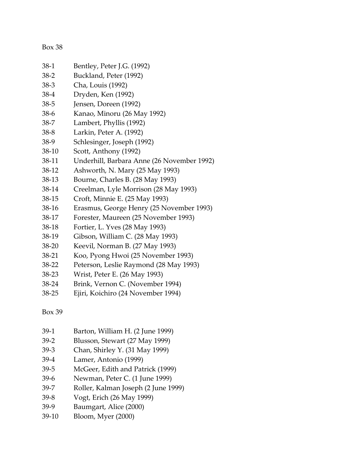| 38-1  | Bentley, Peter J.G. (1992)                 |
|-------|--------------------------------------------|
| 38-2  | Buckland, Peter (1992)                     |
| 38-3  | Cha, Louis (1992)                          |
| 38-4  | Dryden, Ken (1992)                         |
| 38-5  | Jensen, Doreen (1992)                      |
| 38-6  | Kanao, Minoru (26 May 1992)                |
| 38-7  | Lambert, Phyllis (1992)                    |
| 38-8  | Larkin, Peter A. (1992)                    |
| 38-9  | Schlesinger, Joseph (1992)                 |
| 38-10 | Scott, Anthony (1992)                      |
| 38-11 | Underhill, Barbara Anne (26 November 1992) |
| 38-12 | Ashworth, N. Mary (25 May 1993)            |
| 38-13 | Bourne, Charles B. (28 May 1993)           |
| 38-14 | Creelman, Lyle Morrison (28 May 1993)      |
| 38-15 | Croft, Minnie E. (25 May 1993)             |
| 38-16 | Erasmus, George Henry (25 November 1993)   |
| 38-17 | Forester, Maureen (25 November 1993)       |
| 38-18 | Fortier, L. Yves (28 May 1993)             |
| 38-19 | Gibson, William C. (28 May 1993)           |
| 38-20 | Keevil, Norman B. (27 May 1993)            |
| 38-21 | Koo, Pyong Hwoi (25 November 1993)         |
| 38-22 | Peterson, Leslie Raymond (28 May 1993)     |
| 38-23 | Wrist, Peter E. (26 May 1993)              |
| 38-24 | Brink, Vernon C. (November 1994)           |
| 38-25 | Ejiri, Koichiro (24 November 1994)         |
|       |                                            |

- 39-1 Barton, William H. (2 June 1999)
- 39-2 Blusson, Stewart (27 May 1999)
- 39-3 Chan, Shirley Y. (31 May 1999)
- 39-4 Lamer, Antonio (1999)
- 39-5 McGeer, Edith and Patrick (1999)
- 39-6 Newman, Peter C. (1 June 1999)
- 39-7 Roller, Kalman Joseph (2 June 1999)
- 39-8 Vogt, Erich (26 May 1999)
- 39-9 Baumgart, Alice (2000)
- 39-10 Bloom, Myer (2000)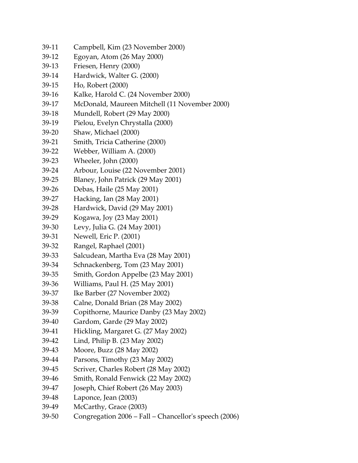- 39-11 Campbell, Kim (23 November 2000)
- 39-12 Egoyan, Atom (26 May 2000)
- 39-13 Friesen, Henry (2000)
- 39-14 Hardwick, Walter G. (2000)
- 39-15 Ho, Robert (2000)
- 39-16 Kalke, Harold C. (24 November 2000)
- 39-17 McDonald, Maureen Mitchell (11 November 2000)
- 39-18 Mundell, Robert (29 May 2000)
- 39-19 Pielou, Evelyn Chrystalla (2000)
- 39-20 Shaw, Michael (2000)
- 39-21 Smith, Tricia Catherine (2000)
- 39-22 Webber, William A. (2000)
- 39-23 Wheeler, John (2000)
- 39-24 Arbour, Louise (22 November 2001)
- 39-25 Blaney, John Patrick (29 May 2001)
- 39-26 Debas, Haile (25 May 2001)
- 39-27 Hacking, Ian (28 May 2001)
- 39-28 Hardwick, David (29 May 2001)
- 39-29 Kogawa, Joy (23 May 2001)
- 39-30 Levy, Julia G. (24 May 2001)
- 39-31 Newell, Eric P. (2001)
- 39-32 Rangel, Raphael (2001)
- 39-33 Salcudean, Martha Eva (28 May 2001)
- 39-34 Schnackenberg, Tom (23 May 2001)
- 39-35 Smith, Gordon Appelbe (23 May 2001)
- 39-36 Williams, Paul H. (25 May 2001)
- 39-37 Ike Barber (27 November 2002)
- 39-38 Calne, Donald Brian (28 May 2002)
- 39-39 Copithorne, Maurice Danby (23 May 2002)
- 39-40 Gardom, Garde (29 May 2002)
- 39-41 Hickling, Margaret G. (27 May 2002)
- 39-42 Lind, Philip B. (23 May 2002)
- 39-43 Moore, Buzz (28 May 2002)
- 39-44 Parsons, Timothy (23 May 2002)
- 39-45 Scriver, Charles Robert (28 May 2002)
- 39-46 Smith, Ronald Fenwick (22 May 2002)
- 39-47 Joseph, Chief Robert (26 May 2003)
- 39-48 Laponce, Jean (2003)
- 39-49 McCarthy, Grace (2003)
- 39-50 Congregation 2006 Fall Chancellor's speech (2006)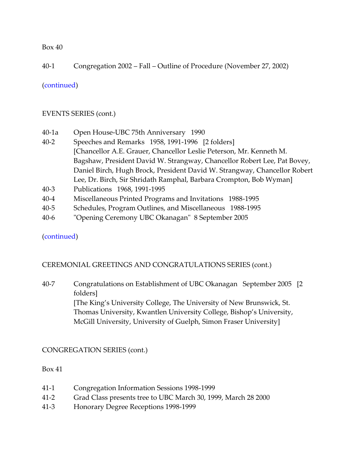# 40-1 Congregation 2002 – Fall – Outline of Procedure (November 27, 2002)

#### [\(continued\)](#page-49-2)

#### <span id="page-49-1"></span>EVENTS SERIES (cont.)

- 40-1a Open House-UBC 75th Anniversary 1990 40-2 Speeches and Remarks 1958, 1991-1996 [2 folders] [Chancellor A.E. Grauer, Chancellor Leslie Peterson, Mr. Kenneth M. Bagshaw, President David W. Strangway, Chancellor Robert Lee, Pat Bovey, Daniel Birch, Hugh Brock, President David W. Strangway, Chancellor Robert Lee, Dr. Birch, Sir Shridath Ramphal, Barbara Crompton, Bob Wyman] 40-3 Publications 1968, 1991-1995
- 40-4 Miscellaneous Printed Programs and Invitations 1988-1995
- 40-5 Schedules, Program Outlines, and Miscellaneous 1988-1995
- 40-6 "Opening Ceremony UBC Okanagan" 8 September 2005

#### [\(continued\)](#page-50-0)

# <span id="page-49-0"></span>CEREMONIAL GREETINGS AND CONGRATULATIONS SERIES (cont.)

40-7 Congratulations on Establishment of UBC Okanagan September 2005 [2 folders] [The King's University College, The University of New Brunswick, St. Thomas University, Kwantlen University College, Bishop's University, McGill University, University of Guelph, Simon Fraser University]

# <span id="page-49-2"></span>CONGREGATION SERIES (cont.)

- 41-1 Congregation Information Sessions 1998-1999
- 41-2 Grad Class presents tree to UBC March 30, 1999, March 28 2000
- 41-3 Honorary Degree Receptions 1998-1999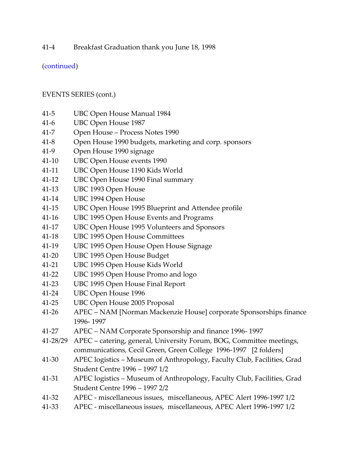41-4 Breakfast Graduation thank you June 18, 1998

[\(continued\)](#page-54-0)

# <span id="page-50-0"></span>EVENTS SERIES (cont.)

- 41-5 UBC Open House Manual 1984
- 41-6 UBC Open House 1987
- 41-7 Open House Process Notes 1990
- 41-8 Open House 1990 budgets, marketing and corp. sponsors
- 41-9 Open House 1990 signage
- 41-10 UBC Open House events 1990
- 41-11 UBC Open House 1190 Kids World
- 41-12 UBC Open House 1990 Final summary
- 41-13 UBC 1993 Open House
- 41-14 UBC 1994 Open House
- 41-15 UBC Open House 1995 Blueprint and Attendee profile
- 41-16 UBC 1995 Open House Events and Programs
- 41-17 UBC Open House 1995 Volunteers and Sponsors
- 41-18 UBC 1995 Open House Committees
- 41-19 UBC 1995 Open House Open House Signage
- 41-20 UBC 1995 Open House Budget
- 41-21 UBC 1995 Open House Kids World
- 41-22 UBC 1995 Open House Promo and logo
- 41-23 UBC 1995 Open House Final Report
- 41-24 UBC Open House 1996
- 41-25 UBC Open House 2005 Proposal
- 41-26 APEC NAM [Norman Mackenzie House] corporate Sponsorships finance 1996- 1997
- 41-27 APEC NAM Corporate Sponsorship and finance 1996- 1997
- 41-28/29 APEC catering, general, University Forum, BOG, Committee meetings, communications, Cecil Green, Green College 1996-1997 [2 folders]
- 41-30 APEC logistics Museum of Anthropology, Faculty Club, Facilities, Grad Student Centre 1996 – 1997 1/2
- 41-31 APEC logistics Museum of Anthropology, Faculty Club, Facilities, Grad Student Centre 1996 – 1997 2/2
- 41-32 APEC miscellaneous issues, miscellaneous, APEC Alert 1996-1997 1/2
- 41-33 APEC miscellaneous issues, miscellaneous, APEC Alert 1996-1997 1/2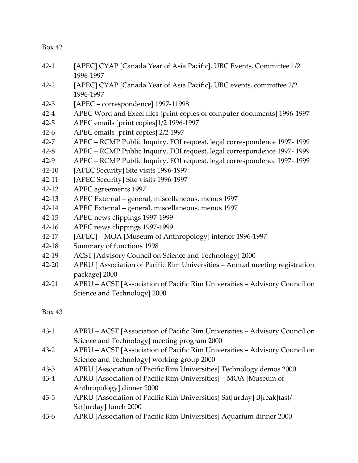- 42-1 [APEC] CYAP [Canada Year of Asia Pacific], UBC Events, Committee 1/2 1996-1997
- 42-2 [APEC] CYAP [Canada Year of Asia Pacific], UBC events, committee 2/2 1996-1997
- 42-3 [APEC correspondence] 1997-11998
- 42-4 APEC Word and Excel files [print copies of computer documents] 1996-1997
- 42-5 APEC emails [print copies]1/2 1996-1997
- 42-6 APEC emails [print copies] 2/2 1997
- 42-7 APEC RCMP Public Inquiry, FOI request, legal correspondence 1997- 1999
- 42-8 APEC RCMP Public Inquiry, FOI request, legal correspondence 1997- 1999
- 42-9 APEC RCMP Public Inquiry, FOI request, legal correspondence 1997- 1999
- 42-10 [APEC Security] Site visits 1996-1997
- 42-11 [APEC Security] Site visits 1996-1997
- 42-12 APEC agreements 1997
- 42-13 APEC External general, miscellaneous, menus 1997
- 42-14 APEC External general, miscellaneous, menus 1997
- 42-15 APEC news clippings 1997-1999
- 42-16 APEC news clippings 1997-1999
- 42-17 [APEC] MOA [Museum of Anthropology] interior 1996-1997
- 42-18 Summary of functions 1998
- 42-19 ACST [Advisory Council on Science and Technology] 2000
- 42-20 APRU [ Association of Pacific Rim Universities Annual meeting registration package] 2000
- 42-21 APRU ACST [Association of Pacific Rim Universities Advisory Council on Science and Technology] 2000

- 43-1 APRU ACST [Association of Pacific Rim Universities Advisory Council on Science and Technology] meeting program 2000
- 43-2 APRU ACST [Association of Pacific Rim Universities Advisory Council on Science and Technology] working group 2000
- 43-3 APRU [Association of Pacific Rim Universities] Technology demos 2000
- 43-4 APRU [Association of Pacific Rim Universities] MOA [Museum of Anthropology] dinner 2000
- 43-5 APRU [Association of Pacific Rim Universities] Sat[urday] B[reak]fast/ Sat[urday] lunch 2000
- 43-6 APRU [Association of Pacific Rim Universities] Aquarium dinner 2000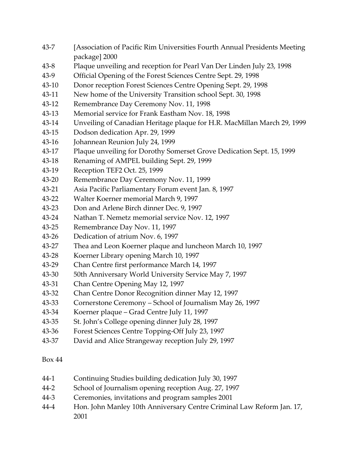- 43-7 [Association of Pacific Rim Universities Fourth Annual Presidents Meeting package] 2000
- 43-8 Plaque unveiling and reception for Pearl Van Der Linden July 23, 1998
- 43-9 Official Opening of the Forest Sciences Centre Sept. 29, 1998
- 43-10 Donor reception Forest Sciences Centre Opening Sept. 29, 1998
- 43-11 New home of the University Transition school Sept. 30, 1998
- 43-12 Remembrance Day Ceremony Nov. 11, 1998
- 43-13 Memorial service for Frank Eastham Nov. 18, 1998
- 43-14 Unveiling of Canadian Heritage plaque for H.R. MacMillan March 29, 1999
- 43-15 Dodson dedication Apr. 29, 1999
- 43-16 Johannean Reunion July 24, 1999
- 43-17 Plaque unveiling for Dorothy Somerset Grove Dedication Sept. 15, 1999
- 43-18 Renaming of AMPEL building Sept. 29, 1999
- 43-19 Reception TEF2 Oct. 25, 1999
- 43-20 Remembrance Day Ceremony Nov. 11, 1999
- 43-21 Asia Pacific Parliamentary Forum event Jan. 8, 1997
- 43-22 Walter Koerner memorial March 9, 1997
- 43-23 Don and Arlene Birch dinner Dec. 9, 1997
- 43-24 Nathan T. Nemetz memorial service Nov. 12, 1997
- 43-25 Remembrance Day Nov. 11, 1997
- 43-26 Dedication of atrium Nov. 6, 1997
- 43-27 Thea and Leon Koerner plaque and luncheon March 10, 1997
- 43-28 Koerner Library opening March 10, 1997
- 43-29 Chan Centre first performance March 14, 1997
- 43-30 50th Anniversary World University Service May 7, 1997
- 43-31 Chan Centre Opening May 12, 1997
- 43-32 Chan Centre Donor Recognition dinner May 12, 1997
- 43-33 Cornerstone Ceremony School of Journalism May 26, 1997
- 43-34 Koerner plaque Grad Centre July 11, 1997
- 43-35 St. John's College opening dinner July 28, 1997
- 43-36 Forest Sciences Centre Topping-Off July 23, 1997
- 43-37 David and Alice Strangeway reception July 29, 1997

- 44-1 Continuing Studies building dedication July 30, 1997
- 44-2 School of Journalism opening reception Aug. 27, 1997
- 44-3 Ceremonies, invitations and program samples 2001
- 44-4 Hon. John Manley 10th Anniversary Centre Criminal Law Reform Jan. 17, 2001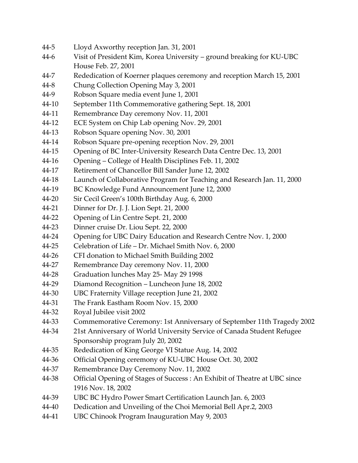- 44-5 Lloyd Axworthy reception Jan. 31, 2001
- 44-6 Visit of President Kim, Korea University ground breaking for KU-UBC House Feb. 27, 2001
- 44-7 Rededication of Koerner plaques ceremony and reception March 15, 2001
- 44-8 Chung Collection Opening May 3, 2001
- 44-9 Robson Square media event June 1, 2001
- 44-10 September 11th Commemorative gathering Sept. 18, 2001
- 44-11 Remembrance Day ceremony Nov. 11, 2001
- 44-12 ECE System on Chip Lab opening Nov. 29, 2001
- 44-13 Robson Square opening Nov. 30, 2001
- 44-14 Robson Square pre-opening reception Nov. 29, 2001
- 44-15 Opening of BC Inter-University Research Data Centre Dec. 13, 2001
- 44-16 Opening College of Health Disciplines Feb. 11, 2002
- 44-17 Retirement of Chancellor Bill Sander June 12, 2002
- 44-18 Launch of Collaborative Program for Teaching and Research Jan. 11, 2000
- 44-19 BC Knowledge Fund Announcement June 12, 2000
- 44-20 Sir Cecil Green's 100th Birthday Aug. 6, 2000
- 44-21 Dinner for Dr. J. J. Lion Sept. 21, 2000
- 44-22 Opening of Lin Centre Sept. 21, 2000
- 44-23 Dinner cruise Dr. Liou Sept. 22, 2000
- 44-24 Opening for UBC Dairy Education and Research Centre Nov. 1, 2000
- 44-25 Celebration of Life Dr. Michael Smith Nov. 6, 2000
- 44-26 CFI donation to Michael Smith Building 2002
- 44-27 Remembrance Day ceremony Nov. 11, 2000
- 44-28 Graduation lunches May 25- May 29 1998
- 44-29 Diamond Recognition Luncheon June 18, 2002
- 44-30 UBC Fraternity Village reception June 21, 2002
- 44-31 The Frank Eastham Room Nov. 15, 2000
- 44-32 Royal Jubilee visit 2002
- 44-33 Commemorative Ceremony: 1st Anniversary of September 11th Tragedy 2002
- 44-34 21st Anniversary of World University Service of Canada Student Refugee Sponsorship program July 20, 2002
- 44-35 Rededication of King George VI Statue Aug. 14, 2002
- 44-36 Official Opening ceremony of KU-UBC House Oct. 30, 2002
- 44-37 Remembrance Day Ceremony Nov. 11, 2002
- 44-38 Official Opening of Stages of Success : An Exhibit of Theatre at UBC since 1916 Nov. 18, 2002
- 44-39 UBC BC Hydro Power Smart Certification Launch Jan. 6, 2003
- 44-40 Dedication and Unveiling of the Choi Memorial Bell Apr.2, 2003
- 44-41 UBC Chinook Program Inauguration May 9, 2003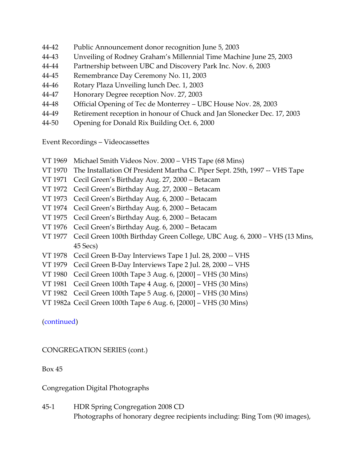- 44-42 Public Announcement donor recognition June 5, 2003
- 44-43 Unveiling of Rodney Graham's Millennial Time Machine June 25, 2003
- 44-44 Partnership between UBC and Discovery Park Inc. Nov. 6, 2003
- 44-45 Remembrance Day Ceremony No. 11, 2003
- 44-46 Rotary Plaza Unveiling lunch Dec. 1, 2003
- 44-47 Honorary Degree reception Nov. 27, 2003
- 44-48 Official Opening of Tec de Monterrey UBC House Nov. 28, 2003
- 44-49 Retirement reception in honour of Chuck and Jan Slonecker Dec. 17, 2003
- 44-50 Opening for Donald Rix Building Oct. 6, 2000

Event Recordings – Videocassettes

- VT 1969 Michael Smith Videos Nov. 2000 VHS Tape (68 Mins)
- VT 1970 The Installation Of President Martha C. Piper Sept. 25th, 1997 -- VHS Tape
- VT 1971 Cecil Green's Birthday Aug. 27, 2000 Betacam
- VT 1972 Cecil Green's Birthday Aug. 27, 2000 Betacam
- VT 1973 Cecil Green's Birthday Aug. 6, 2000 Betacam
- VT 1974 Cecil Green's Birthday Aug. 6, 2000 Betacam
- VT 1975 Cecil Green's Birthday Aug. 6, 2000 Betacam
- VT 1976 Cecil Green's Birthday Aug. 6, 2000 Betacam
- VT 1977 Cecil Green 100th Birthday Green College, UBC Aug. 6, 2000 VHS (13 Mins, 45 Secs)
- VT 1978 Cecil Green B-Day Interviews Tape 1 Jul. 28, 2000 -- VHS
- VT 1979 Cecil Green B-Day Interviews Tape 2 Jul. 28, 2000 -- VHS
- VT 1980 Cecil Green 100th Tape 3 Aug. 6, [2000] VHS (30 Mins)
- VT 1981 Cecil Green 100th Tape 4 Aug. 6, [2000] VHS (30 Mins)
- VT 1982 Cecil Green 100th Tape 5 Aug. 6, [2000] VHS (30 Mins)
- VT 1982a Cecil Green 100th Tape 6 Aug. 6, [2000] VHS (30 Mins)

[\(continued\)](#page-57-0)

<span id="page-54-0"></span>CONGREGATION SERIES (cont.)

Box 45

Congregation Digital Photographs

45-1 HDR Spring Congregation 2008 CD Photographs of honorary degree recipients including: Bing Tom (90 images),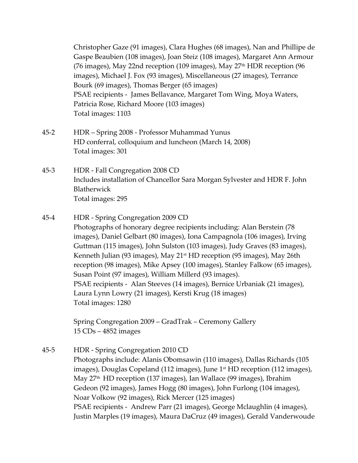Christopher Gaze (91 images), Clara Hughes (68 images), Nan and Phillipe de Gaspe Beaubien (108 images), Joan Steiz (108 images), Margaret Ann Armour (76 images), May 22nd reception (109 images), May  $27<sup>th</sup> HDR$  reception (96 images), Michael J. Fox (93 images), Miscellaneous (27 images), Terrance Bourk (69 images), Thomas Berger (65 images) PSAE recipients - James Bellavance, Margaret Tom Wing, Moya Waters, Patricia Rose, Richard Moore (103 images) Total images: 1103

- 45-2 HDR Spring 2008 Professor Muhammad Yunus HD conferral, colloquium and luncheon (March 14, 2008) Total images: 301
- 45-3 HDR Fall Congregation 2008 CD Includes installation of Chancellor Sara Morgan Sylvester and HDR F. John Blatherwick Total images: 295
- 45-4 HDR Spring Congregation 2009 CD

Photographs of honorary degree recipients including: Alan Berstein (78 images), Daniel Gelbart (80 images), Iona Campagnola (106 images), Irving Guttman (115 images), John Sulston (103 images), Judy Graves (83 images), Kenneth Julian (93 images), May 21st HD reception (95 images), May 26th reception (98 images), Mike Apsey (100 images), Stanley Falkow (65 images), Susan Point (97 images), William Millerd (93 images). PSAE recipients - Alan Steeves (14 images), Bernice Urbaniak (21 images), Laura Lynn Lowry (21 images), Kersti Krug (18 images) Total images: 1280

Spring Congregation 2009 – GradTrak – Ceremony Gallery 15 CDs – 4852 images

45-5 HDR - Spring Congregation 2010 CD Photographs include: Alanis Obomsawin (110 images), Dallas Richards (105 images), Douglas Copeland (112 images), June 1<sup>st</sup> HD reception (112 images), May 27th HD reception (137 images), Ian Wallace (99 images), Ibrahim Gedeon (92 images), James Hogg (80 images), John Furlong (104 images), Noar Volkow (92 images), Rick Mercer (125 images) PSAE recipients - Andrew Parr (21 images), George Mclaughlin (4 images), Justin Marples (19 images), Maura DaCruz (49 images), Gerald Vanderwoude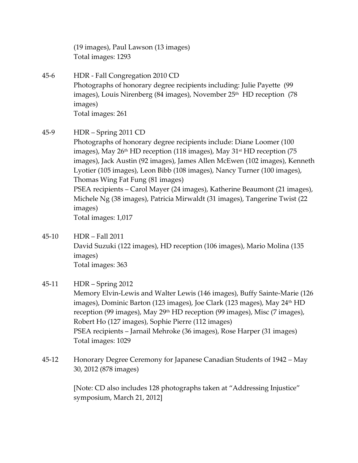(19 images), Paul Lawson (13 images) Total images: 1293

- 45-6 HDR Fall Congregation 2010 CD Photographs of honorary degree recipients including: Julie Payette (99 images), Louis Nirenberg (84 images), November 25<sup>th</sup> HD reception (78 images) Total images: 261
- 45-9 HDR Spring 2011 CD

Photographs of honorary degree recipients include: Diane Loomer (100 images), May  $26<sup>th</sup>$  HD reception (118 images), May  $31<sup>st</sup>$  HD reception (75 images), Jack Austin (92 images), James Allen McEwen (102 images), Kenneth Lyotier (105 images), Leon Bibb (108 images), Nancy Turner (100 images), Thomas Wing Fat Fung (81 images) PSEA recipients – Carol Mayer (24 images), Katherine Beaumont (21 images), Michele Ng (38 images), Patricia Mirwaldt (31 images), Tangerine Twist (22 images) Total images: 1,017

45-10 HDR – Fall 2011 David Suzuki (122 images), HD reception (106 images), Mario Molina (135 images) Total images: 363

# 45-11 HDR – Spring 2012

Memory Elvin-Lewis and Walter Lewis (146 images), Buffy Sainte-Marie (126 images), Dominic Barton (123 images), Joe Clark (123 mages), May 24<sup>th</sup> HD reception (99 images), May 29<sup>th</sup> HD reception (99 images), Misc (7 images), Robert Ho (127 images), Sophie Pierre (112 images) PSEA recipients – Jarnail Mehroke (36 images), Rose Harper (31 images) Total images: 1029

45-12 Honorary Degree Ceremony for Japanese Canadian Students of 1942 – May 30, 2012 (878 images)

> [Note: CD also includes 128 photographs taken at "Addressing Injustice" symposium, March 21, 2012]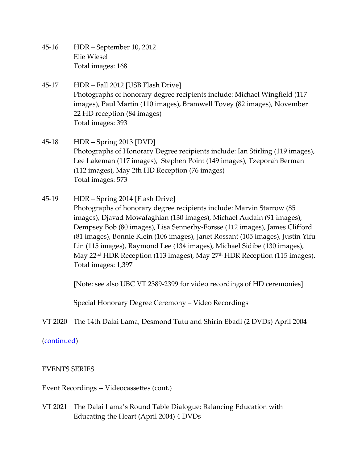- 45-16 HDR September 10, 2012 Elie Wiesel Total images: 168
- 45-17 HDR Fall 2012 [USB Flash Drive] Photographs of honorary degree recipients include: Michael Wingfield (117 images), Paul Martin (110 images), Bramwell Tovey (82 images), November 22 HD reception (84 images) Total images: 393
- 45-18 HDR Spring 2013 [DVD] Photographs of Honorary Degree recipients include: Ian Stirling (119 images), Lee Lakeman (117 images), Stephen Point (149 images), Tzeporah Berman (112 images), May 2th HD Reception (76 images) Total images: 573
- 45-19 HDR Spring 2014 [Flash Drive] Photographs of honorary degree recipients include: Marvin Starrow (85 images), Djavad Mowafaghian (130 images), Michael Audain (91 images), Dempsey Bob (80 images), Lisa Sennerby-Forsse (112 images), James Clifford (81 images), Bonnie Klein (106 images), Janet Rossant (105 images), Justin Yifu Lin (115 images), Raymond Lee (134 images), Michael Sidibe (130 images), May 22<sup>nd</sup> HDR Reception (113 images), May 27<sup>th</sup> HDR Reception (115 images). Total images: 1,397

[Note: see also UBC VT 2389-2399 for video recordings of HD ceremonies]

Special Honorary Degree Ceremony – Video Recordings

VT 2020 The 14th Dalai Lama, Desmond Tutu and Shirin Ebadi (2 DVDs) April 2004

# (continued)

# <span id="page-57-0"></span>EVENTS SERIES

Event Recordings -- Videocassettes (cont.)

VT 2021 The Dalai Lama's Round Table Dialogue: Balancing Education with Educating the Heart (April 2004) 4 DVDs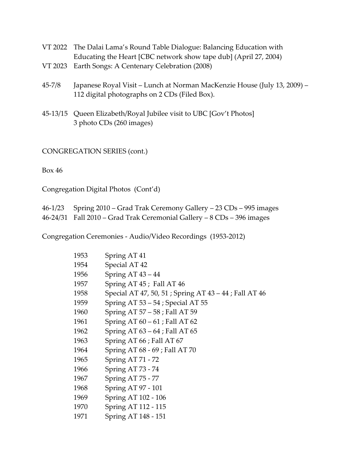- VT 2022 The Dalai Lama's Round Table Dialogue: Balancing Education with Educating the Heart [CBC network show tape dub] (April 27, 2004)
- VT 2023 Earth Songs: A Centenary Celebration (2008)
- 45-7/8 Japanese Royal Visit Lunch at Norman MacKenzie House (July 13, 2009) 112 digital photographs on 2 CDs (Filed Box).
- 45-13/15 Queen Elizabeth/Royal Jubilee visit to UBC [Gov't Photos] 3 photo CDs (260 images)

CONGREGATION SERIES (cont.)

Box 46

Congregation Digital Photos (Cont'd)

| 46-1/23 Spring 2010 – Grad Trak Ceremony Gallery – 23 CDs – 995 images |
|------------------------------------------------------------------------|
| 46-24/31 Fall 2010 – Grad Trak Ceremonial Gallery – 8 CDs – 396 images |

Congregation Ceremonies - Audio/Video Recordings (1953-2012)

| 1953 | Spring AT 41                                         |
|------|------------------------------------------------------|
| 1954 | Special AT 42                                        |
| 1956 | Spring $AT$ 43 – 44                                  |
| 1957 | Spring AT 45; Fall AT 46                             |
| 1958 | Special AT 47, 50, 51; Spring AT 43 – 44; Fall AT 46 |
| 1959 | Spring AT $53 - 54$ ; Special AT $55$                |
| 1960 | Spring AT 57 - 58 ; Fall AT 59                       |
| 1961 | Spring AT $60 - 61$ ; Fall AT $62$                   |
| 1962 | Spring AT $63 - 64$ ; Fall AT $65$                   |
| 1963 | Spring AT 66; Fall AT 67                             |
| 1964 | Spring AT 68 - 69 ; Fall AT 70                       |
| 1965 | Spring AT 71 - 72                                    |
| 1966 | Spring AT 73 - 74                                    |
| 1967 | Spring AT 75 - 77                                    |
| 1968 | Spring AT 97 - 101                                   |
| 1969 | Spring AT 102 - 106                                  |
| 1970 | Spring AT 112 - 115                                  |
| 1971 | Spring AT 148 - 151                                  |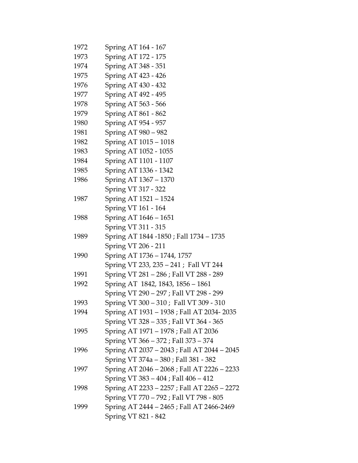| 1972 | Spring AT 164 - 167                         |
|------|---------------------------------------------|
| 1973 | Spring AT 172 - 175                         |
| 1974 | Spring AT 348 - 351                         |
| 1975 | Spring AT 423 - 426                         |
| 1976 | Spring AT 430 - 432                         |
| 1977 | Spring AT 492 - 495                         |
| 1978 | Spring AT 563 - 566                         |
| 1979 | Spring AT 861 - 862                         |
| 1980 | Spring AT 954 - 957                         |
| 1981 | Spring AT 980 - 982                         |
| 1982 | Spring AT 1015 - 1018                       |
| 1983 | Spring AT 1052 - 1055                       |
| 1984 | Spring AT 1101 - 1107                       |
| 1985 | Spring AT 1336 - 1342                       |
| 1986 | Spring AT 1367 - 1370                       |
|      | Spring VT 317 - 322                         |
| 1987 | Spring AT 1521 - 1524                       |
|      | Spring VT 161 - 164                         |
| 1988 | Spring AT 1646 - 1651                       |
|      | Spring VT 311 - 315                         |
| 1989 | Spring AT 1844 -1850 ; Fall 1734 – 1735     |
|      | Spring VT 206 - 211                         |
| 1990 | Spring AT 1736 - 1744, 1757                 |
|      | Spring VT 233, 235 - 241 ; Fall VT 244      |
| 1991 | Spring VT 281 - 286 ; Fall VT 288 - 289     |
| 1992 | Spring AT 1842, 1843, 1856 - 1861           |
|      | Spring VT 290 - 297 ; Fall VT 298 - 299     |
| 1993 | Spring VT 300 - 310; Fall VT 309 - 310      |
| 1994 | Spring AT 1931 - 1938 ; Fall AT 2034-2035   |
|      | Spring VT 328 - 335 ; Fall VT 364 - 365     |
| 1995 | Spring AT 1971 - 1978 ; Fall AT 2036        |
|      | Spring VT 366 - 372 ; Fall 373 - 374        |
| 1996 | Spring AT 2037 - 2043 ; Fall AT 2044 - 2045 |
|      | Spring VT 374a - 380 ; Fall 381 - 382       |
| 1997 | Spring AT 2046 - 2068 ; Fall AT 2226 - 2233 |
|      | Spring VT 383 - 404 ; Fall 406 - 412        |
| 1998 | Spring AT 2233 - 2257 ; Fall AT 2265 - 2272 |
|      | Spring VT 770 - 792 ; Fall VT 798 - 805     |
| 1999 | Spring AT 2444 - 2465 ; Fall AT 2466-2469   |
|      | Spring VT 821 - 842                         |